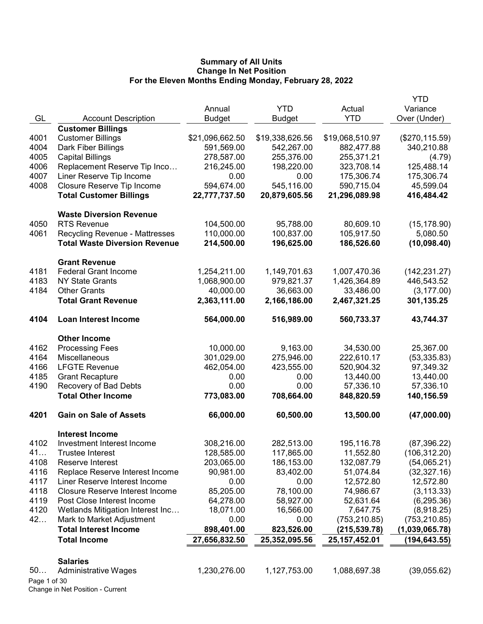|              |                                        |                 |                 |                 | <b>YTD</b>      |
|--------------|----------------------------------------|-----------------|-----------------|-----------------|-----------------|
|              |                                        | Annual          | <b>YTD</b>      | Actual          | Variance        |
| GL           | <b>Account Description</b>             | <b>Budget</b>   | <b>Budget</b>   | <b>YTD</b>      | Over (Under)    |
|              | <b>Customer Billings</b>               |                 |                 |                 |                 |
| 4001         | <b>Customer Billings</b>               | \$21,096,662.50 | \$19,338,626.56 | \$19,068,510.97 | (\$270, 115.59) |
| 4004         | Dark Fiber Billings                    | 591,569.00      | 542,267.00      | 882,477.88      | 340,210.88      |
| 4005         | <b>Capital Billings</b>                | 278,587.00      | 255,376.00      | 255,371.21      | (4.79)          |
| 4006         | Replacement Reserve Tip Inco           | 216,245.00      | 198,220.00      | 323,708.14      | 125,488.14      |
| 4007         | Liner Reserve Tip Income               | 0.00            | 0.00            | 175,306.74      | 175,306.74      |
| 4008         | Closure Reserve Tip Income             | 594,674.00      | 545,116.00      | 590,715.04      | 45,599.04       |
|              | <b>Total Customer Billings</b>         | 22,777,737.50   | 20,879,605.56   | 21,296,089.98   | 416,484.42      |
|              |                                        |                 |                 |                 |                 |
|              | <b>Waste Diversion Revenue</b>         |                 |                 |                 |                 |
| 4050         | <b>RTS Revenue</b>                     | 104,500.00      | 95,788.00       | 80,609.10       | (15, 178.90)    |
| 4061         | <b>Recycling Revenue - Mattresses</b>  | 110,000.00      | 100,837.00      | 105,917.50      | 5,080.50        |
|              | <b>Total Waste Diversion Revenue</b>   | 214,500.00      | 196,625.00      | 186,526.60      | (10,098.40)     |
|              |                                        |                 |                 |                 |                 |
|              | <b>Grant Revenue</b>                   |                 |                 |                 |                 |
| 4181         | <b>Federal Grant Income</b>            | 1,254,211.00    | 1,149,701.63    | 1,007,470.36    | (142, 231.27)   |
| 4183         | <b>NY State Grants</b>                 | 1,068,900.00    | 979,821.37      | 1,426,364.89    | 446,543.52      |
| 4184         | <b>Other Grants</b>                    | 40,000.00       | 36,663.00       | 33,486.00       | (3, 177.00)     |
|              | <b>Total Grant Revenue</b>             | 2,363,111.00    | 2,166,186.00    | 2,467,321.25    | 301,135.25      |
| 4104         | <b>Loan Interest Income</b>            | 564,000.00      | 516,989.00      | 560,733.37      | 43,744.37       |
|              | <b>Other Income</b>                    |                 |                 |                 |                 |
| 4162         | <b>Processing Fees</b>                 | 10,000.00       | 9,163.00        | 34,530.00       | 25,367.00       |
| 4164         | Miscellaneous                          | 301,029.00      | 275,946.00      | 222,610.17      | (53, 335.83)    |
| 4166         | <b>LFGTE Revenue</b>                   | 462,054.00      | 423,555.00      | 520,904.32      | 97,349.32       |
| 4185         | <b>Grant Recapture</b>                 | 0.00            | 0.00            | 13,440.00       | 13,440.00       |
| 4190         | Recovery of Bad Debts                  | 0.00            | 0.00            | 57,336.10       | 57,336.10       |
|              | <b>Total Other Income</b>              | 773,083.00      | 708,664.00      | 848,820.59      | 140,156.59      |
| 4201         | <b>Gain on Sale of Assets</b>          | 66,000.00       | 60,500.00       | 13,500.00       | (47,000.00)     |
|              |                                        |                 |                 |                 |                 |
|              | <b>Interest Income</b>                 |                 |                 |                 |                 |
| 4102         | Investment Interest Income             | 308,216.00      | 282,513.00      | 195,116.78      | (87, 396.22)    |
| 41           | Trustee Interest                       | 128,585.00      | 117,865.00      | 11,552.80       | (106, 312.20)   |
| 4108         | Reserve Interest                       | 203,065.00      | 186,153.00      | 132,087.79      | (54,065.21)     |
| 4116         | Replace Reserve Interest Income        | 90,981.00       | 83,402.00       | 51,074.84       | (32, 327.16)    |
| 4117         | Liner Reserve Interest Income          | 0.00            | 0.00            | 12,572.80       | 12,572.80       |
| 4118         | <b>Closure Reserve Interest Income</b> | 85,205.00       | 78,100.00       | 74,986.67       | (3, 113.33)     |
| 4119         | Post Close Interest Income             | 64,278.00       | 58,927.00       | 52,631.64       | (6, 295.36)     |
| 4120         | Wetlands Mitigation Interest Inc       | 18,071.00       | 16,566.00       | 7,647.75        | (8,918.25)      |
| 42           | Mark to Market Adjustment              | 0.00            | 0.00            | (753, 210.85)   | (753, 210.85)   |
|              | <b>Total Interest Income</b>           | 898,401.00      | 823,526.00      | (215, 539.78)   | (1,039,065.78)  |
|              | <b>Total Income</b>                    | 27,656,832.50   | 25,352,095.56   | 25, 157, 452.01 | (194, 643.55)   |
|              |                                        |                 |                 |                 |                 |
| 50           | <b>Salaries</b>                        | 1,230,276.00    | 1,127,753.00    | 1,088,697.38    |                 |
| Page 1 of 30 | <b>Administrative Wages</b>            |                 |                 |                 | (39,055.62)     |
|              | Change in Net Position - Current       |                 |                 |                 |                 |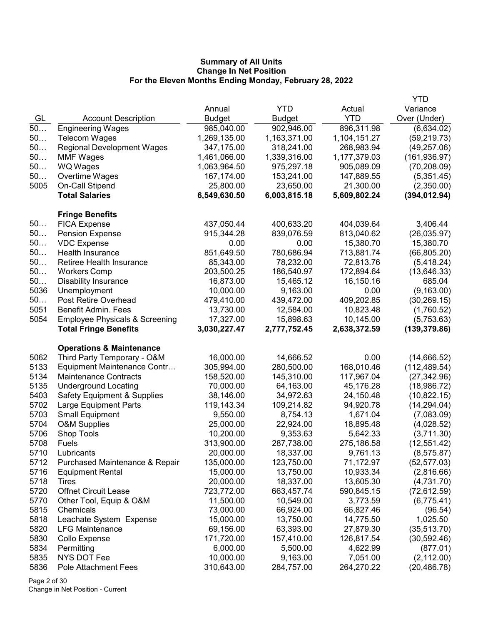|      |                                           |               |               |              | <b>YTD</b>    |
|------|-------------------------------------------|---------------|---------------|--------------|---------------|
|      |                                           | Annual        | <b>YTD</b>    | Actual       | Variance      |
| GL   | <b>Account Description</b>                | <b>Budget</b> | <b>Budget</b> | <b>YTD</b>   | Over (Under)  |
| 50   | <b>Engineering Wages</b>                  | 985,040.00    | 902,946.00    | 896,311.98   | (6,634.02)    |
| 50   | <b>Telecom Wages</b>                      | 1,269,135.00  | 1,163,371.00  | 1,104,151.27 | (59, 219.73)  |
| 50   | <b>Regional Development Wages</b>         | 347,175.00    | 318,241.00    | 268,983.94   | (49, 257.06)  |
| 50   | <b>MMF Wages</b>                          | 1,461,066.00  | 1,339,316.00  | 1,177,379.03 | (161, 936.97) |
| 50   | <b>WQ Wages</b>                           | 1,063,964.50  | 975,297.18    | 905,089.09   | (70, 208.09)  |
| 50   | Overtime Wages                            | 167,174.00    | 153,241.00    | 147,889.55   | (5,351.45)    |
| 5005 | On-Call Stipend                           | 25,800.00     | 23,650.00     | 21,300.00    | (2,350.00)    |
|      | <b>Total Salaries</b>                     | 6,549,630.50  | 6,003,815.18  | 5,609,802.24 | (394, 012.94) |
|      | <b>Fringe Benefits</b>                    |               |               |              |               |
| 50   | <b>FICA Expense</b>                       | 437,050.44    | 400,633.20    | 404,039.64   | 3,406.44      |
| 50   | <b>Pension Expense</b>                    | 915,344.28    | 839,076.59    | 813,040.62   | (26,035.97)   |
| 50   | <b>VDC Expense</b>                        | 0.00          | 0.00          | 15,380.70    | 15,380.70     |
| 50   | Health Insurance                          | 851,649.50    | 780,686.94    | 713,881.74   | (66, 805.20)  |
| 50   | <b>Retiree Health Insurance</b>           | 85,343.00     | 78,232.00     | 72,813.76    | (5,418.24)    |
| 50   | <b>Workers Comp</b>                       | 203,500.25    | 186,540.97    | 172,894.64   | (13, 646.33)  |
| 50   | <b>Disability Insurance</b>               | 16,873.00     | 15,465.12     | 16,150.16    | 685.04        |
| 5036 | Unemployment                              | 10,000.00     | 9,163.00      | 0.00         | (9, 163.00)   |
| 50   | Post Retire Overhead                      | 479,410.00    | 439,472.00    | 409,202.85   | (30, 269.15)  |
| 5051 | Benefit Admin. Fees                       | 13,730.00     | 12,584.00     | 10,823.48    | (1,760.52)    |
| 5054 | <b>Employee Physicals &amp; Screening</b> | 17,327.00     | 15,898.63     | 10,145.00    | (5,753.63)    |
|      | <b>Total Fringe Benefits</b>              | 3,030,227.47  | 2,777,752.45  | 2,638,372.59 | (139, 379.86) |
|      | <b>Operations &amp; Maintenance</b>       |               |               |              |               |
| 5062 | Third Party Temporary - O&M               | 16,000.00     | 14,666.52     | 0.00         | (14,666.52)   |
| 5133 | Equipment Maintenance Contr               | 305,994.00    | 280,500.00    | 168,010.46   | (112, 489.54) |
| 5134 | <b>Maintenance Contracts</b>              | 158,520.00    | 145,310.00    | 117,967.04   | (27, 342.96)  |
| 5135 | <b>Underground Locating</b>               | 70,000.00     | 64,163.00     | 45,176.28    | (18,986.72)   |
| 5403 | <b>Safety Equipment &amp; Supplies</b>    | 38,146.00     | 34,972.63     | 24,150.48    | (10, 822.15)  |
| 5702 | Large Equipment Parts                     | 119,143.34    | 109,214.82    | 94,920.78    | (14, 294.04)  |
| 5703 | <b>Small Equipment</b>                    | 9,550.00      | 8,754.13      | 1,671.04     | (7,083.09)    |
| 5704 | O&M Supplies                              | 25,000.00     | 22,924.00     | 18,895.48    | (4,028.52)    |
| 5706 | Shop Tools                                | 10,200.00     | 9,353.63      | 5,642.33     | (3,711.30)    |
| 5708 | Fuels                                     | 313,900.00    | 287,738.00    | 275,186.58   | (12, 551.42)  |
| 5710 | Lubricants                                | 20,000.00     | 18,337.00     | 9,761.13     | (8, 575.87)   |
| 5712 | Purchased Maintenance & Repair            | 135,000.00    | 123,750.00    | 71,172.97    | (52, 577.03)  |
| 5716 | <b>Equipment Rental</b>                   | 15,000.00     | 13,750.00     | 10,933.34    | (2,816.66)    |
| 5718 | Tires                                     | 20,000.00     | 18,337.00     | 13,605.30    | (4,731.70)    |
| 5720 | <b>Offnet Circuit Lease</b>               | 723,772.00    | 663,457.74    | 590,845.15   | (72, 612.59)  |
| 5770 | Other Tool, Equip & O&M                   | 11,500.00     | 10,549.00     | 3,773.59     | (6,775.41)    |
| 5815 | Chemicals                                 | 73,000.00     | 66,924.00     | 66,827.46    | (96.54)       |
| 5818 | Leachate System Expense                   | 15,000.00     | 13,750.00     | 14,775.50    | 1,025.50      |
| 5820 | <b>LFG Maintenance</b>                    | 69,156.00     | 63,393.00     | 27,879.30    | (35,513.70)   |
| 5830 | Collo Expense                             | 171,720.00    | 157,410.00    | 126,817.54   | (30, 592.46)  |
| 5834 | Permitting                                | 6,000.00      | 5,500.00      | 4,622.99     | (877.01)      |
| 5835 | NYS DOT Fee                               | 10,000.00     | 9,163.00      | 7,051.00     | (2, 112.00)   |
| 5836 | <b>Pole Attachment Fees</b>               | 310,643.00    | 284,757.00    | 264,270.22   | (20, 486.78)  |

Page 2 of 30 Change in Net Position - Current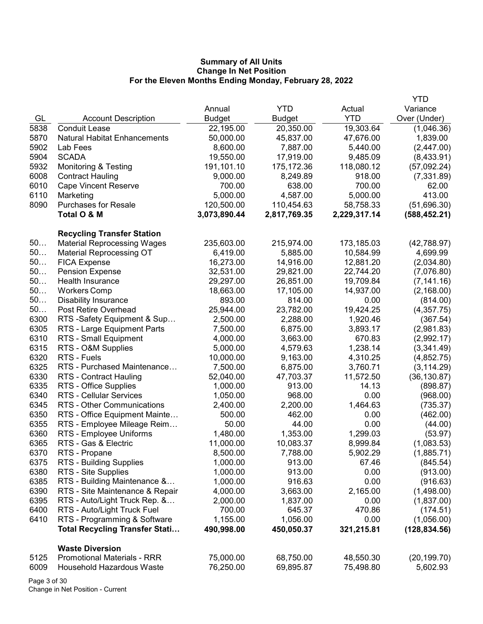|      |                                       |               |              |              | YTD           |
|------|---------------------------------------|---------------|--------------|--------------|---------------|
|      |                                       | Annual        | <b>YTD</b>   | Actual       | Variance      |
| GL   | <b>Account Description</b>            | <b>Budget</b> | Budget       | <b>YTD</b>   | Over (Under)  |
| 5838 | <b>Conduit Lease</b>                  | 22,195.00     | 20,350.00    | 19,303.64    | (1,046.36)    |
| 5870 | <b>Natural Habitat Enhancements</b>   | 50,000.00     | 45,837.00    | 47,676.00    | 1,839.00      |
| 5902 | Lab Fees                              | 8,600.00      | 7,887.00     | 5,440.00     | (2,447.00)    |
| 5904 | <b>SCADA</b>                          | 19,550.00     | 17,919.00    | 9,485.09     | (8,433.91)    |
| 5932 | <b>Monitoring &amp; Testing</b>       | 191,101.10    | 175,172.36   | 118,080.12   | (57,092.24)   |
| 6008 | <b>Contract Hauling</b>               | 9,000.00      | 8,249.89     | 918.00       | (7, 331.89)   |
| 6010 | <b>Cape Vincent Reserve</b>           | 700.00        | 638.00       | 700.00       | 62.00         |
| 6110 | Marketing                             | 5,000.00      | 4,587.00     | 5,000.00     | 413.00        |
| 8090 | <b>Purchases for Resale</b>           | 120,500.00    | 110,454.63   | 58,758.33    | (51,696.30)   |
|      | Total O & M                           | 3,073,890.44  | 2,817,769.35 | 2,229,317.14 | (588, 452.21) |
|      |                                       |               |              |              |               |
|      | <b>Recycling Transfer Station</b>     |               |              |              |               |
| 50   | <b>Material Reprocessing Wages</b>    | 235,603.00    | 215,974.00   | 173,185.03   | (42,788.97)   |
| 50   | <b>Material Reprocessing OT</b>       | 6,419.00      | 5,885.00     | 10,584.99    | 4,699.99      |
| 50   | <b>FICA Expense</b>                   | 16,273.00     | 14,916.00    | 12,881.20    | (2,034.80)    |
| 50   | <b>Pension Expense</b>                | 32,531.00     | 29,821.00    | 22,744.20    | (7,076.80)    |
| 50   | Health Insurance                      | 29,297.00     | 26,851.00    | 19,709.84    | (7, 141.16)   |
| 50   | <b>Workers Comp</b>                   | 18,663.00     | 17,105.00    | 14,937.00    | (2, 168.00)   |
| 50   | <b>Disability Insurance</b>           | 893.00        | 814.00       | 0.00         | (814.00)      |
| 50   | Post Retire Overhead                  | 25,944.00     | 23,782.00    | 19,424.25    | (4,357.75)    |
| 6300 | RTS-Safety Equipment & Sup            | 2,500.00      | 2,288.00     | 1,920.46     | (367.54)      |
| 6305 | RTS - Large Equipment Parts           | 7,500.00      | 6,875.00     | 3,893.17     | (2,981.83)    |
| 6310 | RTS - Small Equipment                 | 4,000.00      | 3,663.00     | 670.83       | (2,992.17)    |
| 6315 | RTS - O&M Supplies                    | 5,000.00      | 4,579.63     | 1,238.14     | (3,341.49)    |
| 6320 | RTS - Fuels                           | 10,000.00     | 9,163.00     | 4,310.25     | (4,852.75)    |
| 6325 | RTS - Purchased Maintenance           | 7,500.00      | 6,875.00     | 3,760.71     | (3, 114.29)   |
| 6330 | RTS - Contract Hauling                | 52,040.00     | 47,703.37    | 11,572.50    | (36, 130.87)  |
| 6335 | RTS - Office Supplies                 | 1,000.00      | 913.00       | 14.13        | (898.87)      |
| 6340 | <b>RTS - Cellular Services</b>        | 1,050.00      | 968.00       | 0.00         | (968.00)      |
| 6345 | RTS - Other Communications            | 2,400.00      | 2,200.00     | 1,464.63     | (735.37)      |
| 6350 | RTS - Office Equipment Mainte         | 500.00        | 462.00       | 0.00         | (462.00)      |
| 6355 | RTS - Employee Mileage Reim           | 50.00         | 44.00        | 0.00         | (44.00)       |
| 6360 | RTS - Employee Uniforms               | 1,480.00      | 1,353.00     | 1,299.03     | (53.97)       |
| 6365 | RTS - Gas & Electric                  | 11,000.00     | 10,083.37    | 8,999.84     | (1,083.53)    |
| 6370 | RTS - Propane                         | 8,500.00      | 7,788.00     | 5,902.29     | (1,885.71)    |
| 6375 | RTS - Building Supplies               | 1,000.00      | 913.00       | 67.46        | (845.54)      |
| 6380 | RTS - Site Supplies                   | 1,000.00      | 913.00       | 0.00         | (913.00)      |
| 6385 | RTS - Building Maintenance &          | 1,000.00      | 916.63       | 0.00         | (916.63)      |
| 6390 | RTS - Site Maintenance & Repair       | 4,000.00      | 3,663.00     | 2,165.00     | (1,498.00)    |
| 6395 | RTS - Auto/Light Truck Rep. &         | 2,000.00      | 1,837.00     | 0.00         | (1,837.00)    |
| 6400 | RTS - Auto/Light Truck Fuel           | 700.00        | 645.37       | 470.86       | (174.51)      |
| 6410 | RTS - Programming & Software          | 1,155.00      | 1,056.00     | 0.00         | (1,056.00)    |
|      | <b>Total Recycling Transfer Stati</b> | 490,998.00    | 450,050.37   | 321,215.81   | (128, 834.56) |
|      |                                       |               |              |              |               |
|      | <b>Waste Diversion</b>                |               |              |              |               |
| 5125 | <b>Promotional Materials - RRR</b>    | 75,000.00     | 68,750.00    | 48,550.30    | (20, 199.70)  |
| 6009 | <b>Household Hazardous Waste</b>      | 76,250.00     | 69,895.87    | 75,498.80    | 5,602.93      |
|      |                                       |               |              |              |               |

Page 3 of 30 Change in Net Position - Current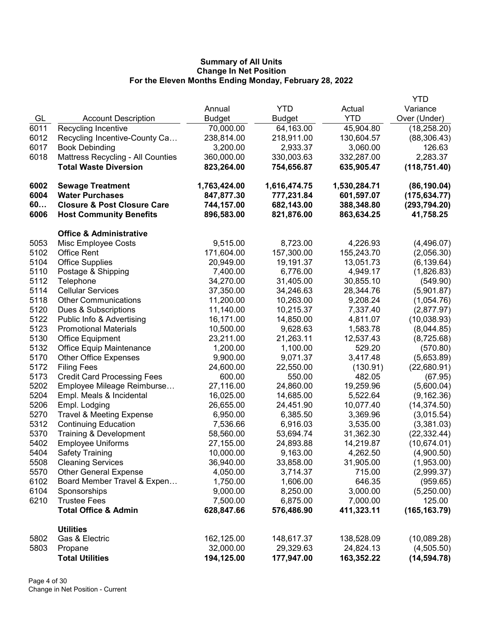|      |                                        |               |               |              | <b>YTD</b>    |
|------|----------------------------------------|---------------|---------------|--------------|---------------|
|      |                                        | Annual        | <b>YTD</b>    | Actual       | Variance      |
| GL   | <b>Account Description</b>             | <b>Budget</b> | <b>Budget</b> | <b>YTD</b>   | Over (Under)  |
| 6011 | Recycling Incentive                    | 70,000.00     | 64,163.00     | 45,904.80    | (18, 258.20)  |
| 6012 | Recycling Incentive-County Ca          | 238,814.00    | 218,911.00    | 130,604.57   | (88, 306.43)  |
| 6017 | <b>Book Debinding</b>                  | 3,200.00      | 2,933.37      | 3,060.00     | 126.63        |
| 6018 | Mattress Recycling - All Counties      | 360,000.00    | 330,003.63    | 332,287.00   | 2,283.37      |
|      | <b>Total Waste Diversion</b>           | 823,264.00    | 754,656.87    | 635,905.47   | (118, 751.40) |
|      |                                        |               |               |              |               |
| 6002 | <b>Sewage Treatment</b>                | 1,763,424.00  | 1,616,474.75  | 1,530,284.71 | (86, 190.04)  |
| 6004 | <b>Water Purchases</b>                 | 847,877.30    | 777,231.84    | 601,597.07   | (175, 634.77) |
| 60   | <b>Closure &amp; Post Closure Care</b> | 744,157.00    | 682,143.00    | 388,348.80   | (293, 794.20) |
| 6006 | <b>Host Community Benefits</b>         | 896,583.00    | 821,876.00    | 863,634.25   | 41,758.25     |
|      | <b>Office &amp; Administrative</b>     |               |               |              |               |
| 5053 | Misc Employee Costs                    | 9,515.00      | 8,723.00      | 4,226.93     | (4,496.07)    |
| 5102 | <b>Office Rent</b>                     | 171,604.00    | 157,300.00    | 155,243.70   | (2,056.30)    |
| 5104 | <b>Office Supplies</b>                 | 20,949.00     | 19,191.37     | 13,051.73    | (6, 139.64)   |
| 5110 | Postage & Shipping                     | 7,400.00      | 6,776.00      | 4,949.17     | (1,826.83)    |
| 5112 | Telephone                              | 34,270.00     | 31,405.00     | 30,855.10    | (549.90)      |
| 5114 | <b>Cellular Services</b>               | 37,350.00     | 34,246.63     | 28,344.76    | (5,901.87)    |
| 5118 | <b>Other Communications</b>            | 11,200.00     | 10,263.00     | 9,208.24     | (1,054.76)    |
| 5120 | Dues & Subscriptions                   | 11,140.00     | 10,215.37     | 7,337.40     | (2,877.97)    |
| 5122 | Public Info & Advertising              | 16,171.00     | 14,850.00     | 4,811.07     | (10,038.93)   |
| 5123 | <b>Promotional Materials</b>           | 10,500.00     | 9,628.63      | 1,583.78     | (8,044.85)    |
| 5130 | <b>Office Equipment</b>                | 23,211.00     | 21,263.11     | 12,537.43    | (8,725.68)    |
| 5132 | <b>Office Equip Maintenance</b>        | 1,200.00      | 1,100.00      | 529.20       | (570.80)      |
| 5170 | <b>Other Office Expenses</b>           | 9,900.00      | 9,071.37      | 3,417.48     | (5,653.89)    |
| 5172 | <b>Filing Fees</b>                     | 24,600.00     | 22,550.00     | (130.91)     | (22,680.91)   |
| 5173 | <b>Credit Card Processing Fees</b>     | 600.00        | 550.00        | 482.05       | (67.95)       |
| 5202 | Employee Mileage Reimburse             | 27,116.00     | 24,860.00     | 19,259.96    | (5,600.04)    |
| 5204 | Empl. Meals & Incidental               | 16,025.00     | 14,685.00     | 5,522.64     | (9, 162.36)   |
| 5206 | Empl. Lodging                          | 26,655.00     | 24,451.90     | 10,077.40    | (14, 374.50)  |
| 5270 | <b>Travel &amp; Meeting Expense</b>    | 6,950.00      | 6,385.50      | 3,369.96     | (3,015.54)    |
| 5312 | <b>Continuing Education</b>            | 7,536.66      | 6,916.03      | 3,535.00     | (3,381.03)    |
| 5370 | Training & Development                 | 58,560.00     | 53,694.74     | 31,362.30    | (22, 332.44)  |
| 5402 | <b>Employee Uniforms</b>               | 27,155.00     | 24,893.88     | 14,219.87    | (10,674.01)   |
| 5404 | <b>Safety Training</b>                 | 10,000.00     | 9,163.00      | 4,262.50     | (4,900.50)    |
| 5508 | <b>Cleaning Services</b>               | 36,940.00     | 33,858.00     | 31,905.00    | (1,953.00)    |
| 5570 | <b>Other General Expense</b>           | 4,050.00      | 3,714.37      | 715.00       | (2,999.37)    |
| 6102 | Board Member Travel & Expen            | 1,750.00      | 1,606.00      | 646.35       | (959.65)      |
| 6104 | Sponsorships                           | 9,000.00      | 8,250.00      | 3,000.00     | (5,250.00)    |
| 6210 | <b>Trustee Fees</b>                    | 7,500.00      | 6,875.00      | 7,000.00     | 125.00        |
|      | <b>Total Office &amp; Admin</b>        | 628,847.66    | 576,486.90    | 411,323.11   | (165, 163.79) |
|      | <b>Utilities</b>                       |               |               |              |               |
| 5802 | Gas & Electric                         | 162,125.00    | 148,617.37    | 138,528.09   | (10,089.28)   |
| 5803 | Propane                                | 32,000.00     | 29,329.63     | 24,824.13    | (4,505.50)    |
|      | <b>Total Utilities</b>                 | 194,125.00    | 177,947.00    | 163,352.22   | (14, 594.78)  |
|      |                                        |               |               |              |               |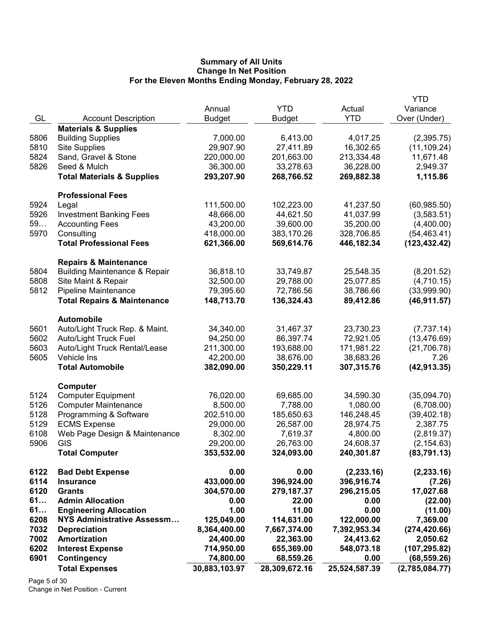|      |                                          |               |               |               | <b>YTD</b>     |
|------|------------------------------------------|---------------|---------------|---------------|----------------|
|      |                                          | Annual        | <b>YTD</b>    | Actual        | Variance       |
| GL   | <b>Account Description</b>               | <b>Budget</b> | <b>Budget</b> | <b>YTD</b>    | Over (Under)   |
|      | <b>Materials &amp; Supplies</b>          |               |               |               |                |
| 5806 | <b>Building Supplies</b>                 | 7,000.00      | 6,413.00      | 4,017.25      | (2,395.75)     |
| 5810 | <b>Site Supplies</b>                     | 29,907.90     | 27,411.89     | 16,302.65     | (11, 109.24)   |
| 5824 | Sand, Gravel & Stone                     | 220,000.00    | 201,663.00    | 213,334.48    | 11,671.48      |
| 5826 | Seed & Mulch                             | 36,300.00     | 33,278.63     | 36,228.00     | 2,949.37       |
|      | <b>Total Materials &amp; Supplies</b>    | 293,207.90    | 268,766.52    | 269,882.38    | 1,115.86       |
|      | <b>Professional Fees</b>                 |               |               |               |                |
| 5924 | Legal                                    | 111,500.00    | 102,223.00    | 41,237.50     | (60, 985.50)   |
| 5926 | <b>Investment Banking Fees</b>           | 48,666.00     | 44,621.50     | 41,037.99     | (3,583.51)     |
| 59   | <b>Accounting Fees</b>                   | 43,200.00     | 39,600.00     | 35,200.00     | (4,400.00)     |
| 5970 | Consulting                               | 418,000.00    | 383,170.26    | 328,706.85    | (54, 463.41)   |
|      | <b>Total Professional Fees</b>           | 621,366.00    | 569,614.76    | 446,182.34    | (123, 432.42)  |
|      | <b>Repairs &amp; Maintenance</b>         |               |               |               |                |
| 5804 | <b>Building Maintenance &amp; Repair</b> | 36,818.10     | 33,749.87     | 25,548.35     | (8,201.52)     |
| 5808 | Site Maint & Repair                      | 32,500.00     | 29,788.00     | 25,077.85     | (4,710.15)     |
| 5812 | <b>Pipeline Maintenance</b>              | 79,395.60     | 72,786.56     | 38,786.66     | (33,999.90)    |
|      | <b>Total Repairs &amp; Maintenance</b>   | 148,713.70    | 136,324.43    | 89,412.86     | (46, 911.57)   |
|      | <b>Automobile</b>                        |               |               |               |                |
| 5601 | Auto/Light Truck Rep. & Maint.           | 34,340.00     | 31,467.37     | 23,730.23     | (7, 737.14)    |
| 5602 | <b>Auto/Light Truck Fuel</b>             | 94,250.00     | 86,397.74     | 72,921.05     | (13, 476.69)   |
| 5603 | Auto/Light Truck Rental/Lease            | 211,300.00    | 193,688.00    | 171,981.22    | (21,706.78)    |
| 5605 | Vehicle Ins                              | 42,200.00     | 38,676.00     | 38,683.26     | 7.26           |
|      | <b>Total Automobile</b>                  | 382,090.00    | 350,229.11    | 307,315.76    | (42, 913.35)   |
|      | Computer                                 |               |               |               |                |
| 5124 | <b>Computer Equipment</b>                | 76,020.00     | 69,685.00     | 34,590.30     | (35,094.70)    |
| 5126 | <b>Computer Maintenance</b>              | 8,500.00      | 7,788.00      | 1,080.00      | (6,708.00)     |
| 5128 | Programming & Software                   | 202,510.00    | 185,650.63    | 146,248.45    | (39, 402.18)   |
| 5129 | <b>ECMS Expense</b>                      | 29,000.00     | 26,587.00     | 28,974.75     | 2,387.75       |
| 6108 | Web Page Design & Maintenance            | 8,302.00      | 7,619.37      | 4,800.00      | (2,819.37)     |
| 5906 | GIS                                      | 29,200.00     | 26,763.00     | 24,608.37     | (2, 154.63)    |
|      | <b>Total Computer</b>                    | 353,532.00    | 324,093.00    | 240,301.87    | (83,791.13)    |
| 6122 | <b>Bad Debt Expense</b>                  | 0.00          | 0.00          | (2, 233.16)   | (2, 233.16)    |
| 6114 | <b>Insurance</b>                         | 433,000.00    | 396,924.00    | 396,916.74    | (7.26)         |
| 6120 | <b>Grants</b>                            | 304,570.00    | 279,187.37    | 296,215.05    | 17,027.68      |
| 61   | <b>Admin Allocation</b>                  | 0.00          | 22.00         | 0.00          | (22.00)        |
| 61   | <b>Engineering Allocation</b>            | 1.00          | 11.00         | 0.00          | (11.00)        |
| 6208 | <b>NYS Administrative Assessm</b>        | 125,049.00    | 114,631.00    | 122,000.00    | 7,369.00       |
| 7032 | <b>Depreciation</b>                      | 8,364,400.00  | 7,667,374.00  | 7,392,953.34  | (274, 420.66)  |
| 7002 | Amortization                             | 24,400.00     | 22,363.00     | 24,413.62     | 2,050.62       |
| 6202 | <b>Interest Expense</b>                  | 714,950.00    | 655,369.00    | 548,073.18    | (107, 295.82)  |
| 6901 | <b>Contingency</b>                       | 74,800.00     | 68,559.26     | 0.00          | (68, 559.26)   |
|      | <b>Total Expenses</b>                    | 30,883,103.97 | 28,309,672.16 | 25,524,587.39 | (2,785,084.77) |
|      |                                          |               |               |               |                |

Page 5 of 30 Change in Net Position - Current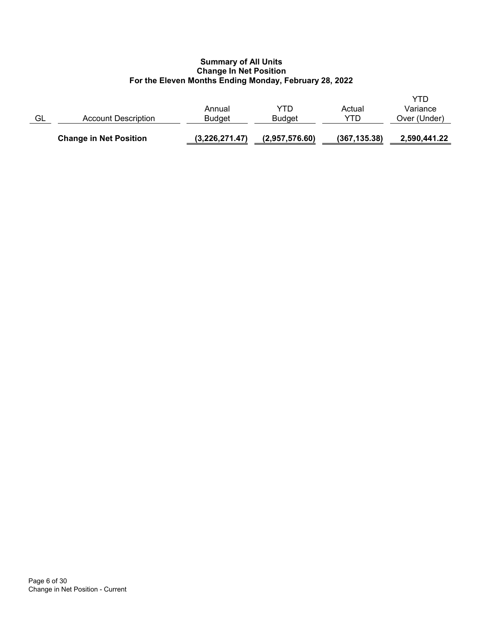|    | <b>Change in Net Position</b> | (3,226,271.47)          | (2,957,576.60)       | (367, 135.38) | 2,590,441.22                    |
|----|-------------------------------|-------------------------|----------------------|---------------|---------------------------------|
| GL | Account Description           | Annual<br><b>Budget</b> | YTD<br><b>Budget</b> | Actual<br>YTD | YTD<br>Variance<br>Over (Under) |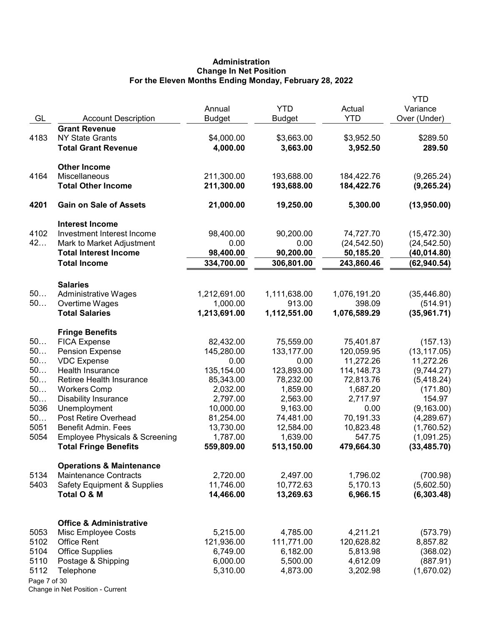# Administration Change In Net Position For the Eleven Months Ending Monday, February 28, 2022

|              |                                                |                        |                        |                  | <b>YTD</b>               |
|--------------|------------------------------------------------|------------------------|------------------------|------------------|--------------------------|
|              |                                                | Annual                 | <b>YTD</b>             | Actual           | Variance                 |
| GL           | <b>Account Description</b>                     | <b>Budget</b>          | Budget                 | <b>YTD</b>       | Over (Under)             |
|              | <b>Grant Revenue</b>                           |                        |                        |                  |                          |
| 4183         | <b>NY State Grants</b>                         | \$4,000.00             | \$3,663.00<br>3,663.00 | \$3,952.50       | \$289.50                 |
|              | <b>Total Grant Revenue</b>                     | 4,000.00               |                        | 3,952.50         | 289.50                   |
|              | <b>Other Income</b>                            |                        |                        |                  |                          |
| 4164         | Miscellaneous                                  | 211,300.00             | 193,688.00             | 184,422.76       | (9,265.24)               |
|              | <b>Total Other Income</b>                      | 211,300.00             | 193,688.00             | 184,422.76       | (9, 265.24)              |
| 4201         | <b>Gain on Sale of Assets</b>                  | 21,000.00              | 19,250.00              | 5,300.00         | (13,950.00)              |
|              | <b>Interest Income</b>                         |                        |                        |                  |                          |
| 4102         | Investment Interest Income                     | 98,400.00              | 90,200.00              | 74,727.70        | (15, 472.30)             |
| 42           | Mark to Market Adjustment                      | 0.00                   | 0.00                   | (24, 542.50)     | (24, 542.50)             |
|              | <b>Total Interest Income</b>                   | 98,400.00              | 90,200.00              | 50,185.20        | (40, 014.80)             |
|              | <b>Total Income</b>                            | 334,700.00             | 306,801.00             | 243,860.46       | (62, 940.54)             |
|              |                                                |                        |                        |                  |                          |
| 50           | <b>Salaries</b><br><b>Administrative Wages</b> | 1,212,691.00           | 1,111,638.00           | 1,076,191.20     | (35, 446.80)             |
| 50           | Overtime Wages                                 | 1,000.00               | 913.00                 | 398.09           | (514.91)                 |
|              | <b>Total Salaries</b>                          | 1,213,691.00           | 1,112,551.00           | 1,076,589.29     | (35,961.71)              |
|              |                                                |                        |                        |                  |                          |
|              | <b>Fringe Benefits</b>                         |                        |                        |                  |                          |
| 50           | <b>FICA Expense</b>                            | 82,432.00              | 75,559.00              | 75,401.87        | (157.13)                 |
| 50           | <b>Pension Expense</b>                         | 145,280.00             | 133,177.00             | 120,059.95       | (13, 117.05)             |
| 50           | <b>VDC Expense</b>                             | 0.00                   | 0.00                   | 11,272.26        | 11,272.26                |
| 50           | Health Insurance                               | 135,154.00             | 123,893.00             | 114, 148. 73     | (9,744.27)               |
| 50           | Retiree Health Insurance                       | 85,343.00              | 78,232.00              | 72,813.76        | (5,418.24)               |
| 50           | <b>Workers Comp</b>                            | 2,032.00               | 1,859.00               | 1,687.20         | (171.80)                 |
| 50<br>5036   | <b>Disability Insurance</b>                    | 2,797.00               | 2,563.00               | 2,717.97<br>0.00 | 154.97                   |
| 50           | Unemployment<br>Post Retire Overhead           | 10,000.00<br>81,254.00 | 9,163.00<br>74,481.00  | 70,191.33        | (9, 163.00)              |
| 5051         | <b>Benefit Admin. Fees</b>                     | 13,730.00              | 12,584.00              | 10,823.48        | (4,289.67)<br>(1,760.52) |
| 5054         | <b>Employee Physicals &amp; Screening</b>      | 1,787.00               | 1,639.00               | 547.75           | (1,091.25)               |
|              | <b>Total Fringe Benefits</b>                   | 559,809.00             | 513,150.00             | 479,664.30       | (33, 485.70)             |
|              | <b>Operations &amp; Maintenance</b>            |                        |                        |                  |                          |
| 5134         | Maintenance Contracts                          | 2,720.00               | 2,497.00               | 1,796.02         | (700.98)                 |
| 5403         | <b>Safety Equipment &amp; Supplies</b>         | 11,746.00              | 10,772.63              | 5,170.13         | (5,602.50)               |
|              | Total O & M                                    | 14,466.00              | 13,269.63              | 6,966.15         | (6,303.48)               |
|              |                                                |                        |                        |                  |                          |
|              | <b>Office &amp; Administrative</b>             |                        |                        |                  |                          |
| 5053         | Misc Employee Costs                            | 5,215.00               | 4,785.00               | 4,211.21         | (573.79)                 |
| 5102         | <b>Office Rent</b>                             | 121,936.00             | 111,771.00             | 120,628.82       | 8,857.82                 |
| 5104         | <b>Office Supplies</b>                         | 6,749.00               | 6,182.00               | 5,813.98         | (368.02)                 |
| 5110         | Postage & Shipping                             | 6,000.00               | 5,500.00               | 4,612.09         | (887.91)                 |
| 5112         | Telephone                                      | 5,310.00               | 4,873.00               | 3,202.98         | (1,670.02)               |
| Page 7 of 30 |                                                |                        |                        |                  |                          |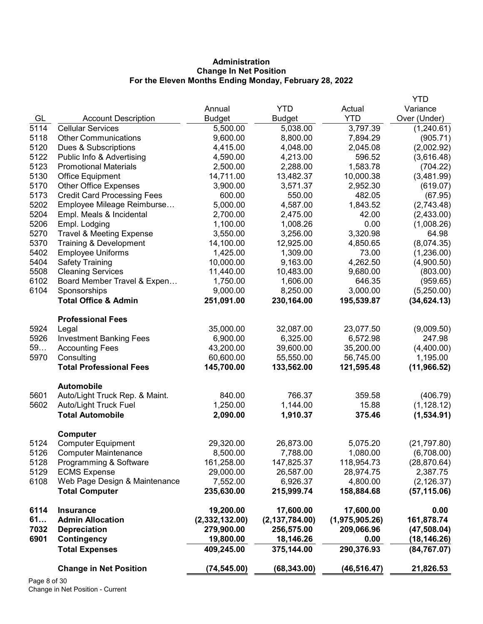# Administration Change In Net Position For the Eleven Months Ending Monday, February 28, 2022

|      |                                     |                |                  |                | <b>YTD</b>   |
|------|-------------------------------------|----------------|------------------|----------------|--------------|
|      |                                     | Annual         | <b>YTD</b>       | Actual         | Variance     |
| GL   | <b>Account Description</b>          | <b>Budget</b>  | <b>Budget</b>    | <b>YTD</b>     | Over (Under) |
| 5114 | <b>Cellular Services</b>            | 5,500.00       | 5,038.00         | 3,797.39       | (1,240.61)   |
| 5118 | <b>Other Communications</b>         | 9,600.00       | 8,800.00         | 7,894.29       | (905.71)     |
| 5120 | Dues & Subscriptions                | 4,415.00       | 4,048.00         | 2,045.08       | (2,002.92)   |
| 5122 | Public Info & Advertising           | 4,590.00       | 4,213.00         | 596.52         | (3,616.48)   |
| 5123 | <b>Promotional Materials</b>        | 2,500.00       | 2,288.00         | 1,583.78       | (704.22)     |
| 5130 | Office Equipment                    | 14,711.00      | 13,482.37        | 10,000.38      | (3,481.99)   |
| 5170 | <b>Other Office Expenses</b>        | 3,900.00       | 3,571.37         | 2,952.30       | (619.07)     |
| 5173 | <b>Credit Card Processing Fees</b>  | 600.00         | 550.00           | 482.05         | (67.95)      |
| 5202 | Employee Mileage Reimburse          | 5,000.00       | 4,587.00         | 1,843.52       | (2,743.48)   |
| 5204 | Empl. Meals & Incidental            | 2,700.00       | 2,475.00         | 42.00          | (2,433.00)   |
| 5206 | Empl. Lodging                       | 1,100.00       | 1,008.26         | 0.00           | (1,008.26)   |
| 5270 | <b>Travel &amp; Meeting Expense</b> | 3,550.00       | 3,256.00         | 3,320.98       | 64.98        |
| 5370 | Training & Development              | 14,100.00      | 12,925.00        | 4,850.65       | (8,074.35)   |
| 5402 | <b>Employee Uniforms</b>            | 1,425.00       | 1,309.00         | 73.00          | (1,236.00)   |
| 5404 | <b>Safety Training</b>              | 10,000.00      | 9,163.00         | 4,262.50       | (4,900.50)   |
| 5508 | <b>Cleaning Services</b>            | 11,440.00      | 10,483.00        | 9,680.00       | (803.00)     |
| 6102 | Board Member Travel & Expen         | 1,750.00       | 1,606.00         | 646.35         | (959.65)     |
| 6104 | Sponsorships                        | 9,000.00       | 8,250.00         | 3,000.00       | (5,250.00)   |
|      | <b>Total Office &amp; Admin</b>     | 251,091.00     | 230,164.00       | 195,539.87     | (34, 624.13) |
|      | <b>Professional Fees</b>            |                |                  |                |              |
| 5924 | Legal                               | 35,000.00      | 32,087.00        | 23,077.50      | (9,009.50)   |
| 5926 | <b>Investment Banking Fees</b>      | 6,900.00       | 6,325.00         | 6,572.98       | 247.98       |
| 59   | <b>Accounting Fees</b>              | 43,200.00      | 39,600.00        | 35,200.00      | (4,400.00)   |
| 5970 | Consulting                          | 60,600.00      | 55,550.00        | 56,745.00      | 1,195.00     |
|      | <b>Total Professional Fees</b>      | 145,700.00     | 133,562.00       | 121,595.48     | (11, 966.52) |
|      | Automobile                          |                |                  |                |              |
| 5601 | Auto/Light Truck Rep. & Maint.      | 840.00         | 766.37           | 359.58         | (406.79)     |
| 5602 | <b>Auto/Light Truck Fuel</b>        | 1,250.00       | 1,144.00         | 15.88          | (1, 128.12)  |
|      | <b>Total Automobile</b>             | 2,090.00       | 1,910.37         | 375.46         | (1,534.91)   |
|      | Computer                            |                |                  |                |              |
| 5124 | <b>Computer Equipment</b>           | 29,320.00      | 26,873.00        | 5,075.20       | (21, 797.80) |
| 5126 | <b>Computer Maintenance</b>         | 8,500.00       | 7,788.00         | 1,080.00       | (6,708.00)   |
| 5128 | Programming & Software              | 161,258.00     | 147,825.37       | 118,954.73     | (28, 870.64) |
| 5129 | <b>ECMS Expense</b>                 | 29,000.00      | 26,587.00        | 28,974.75      | 2,387.75     |
| 6108 | Web Page Design & Maintenance       | 7,552.00       | 6,926.37         | 4,800.00       | (2, 126.37)  |
|      | <b>Total Computer</b>               | 235,630.00     | 215,999.74       | 158,884.68     | (57, 115.06) |
| 6114 | <b>Insurance</b>                    | 19,200.00      | 17,600.00        | 17,600.00      | 0.00         |
| 61   | <b>Admin Allocation</b>             | (2,332,132.00) | (2, 137, 784.00) | (1,975,905.26) | 161,878.74   |
| 7032 | <b>Depreciation</b>                 | 279,900.00     | 256,575.00       | 209,066.96     | (47,508.04)  |
| 6901 | <b>Contingency</b>                  | 19,800.00      | 18,146.26        | 0.00           | (18, 146.26) |
|      | <b>Total Expenses</b>               | 409,245.00     | 375,144.00       | 290,376.93     | (84, 767.07) |
|      | <b>Change in Net Position</b>       | (74, 545.00)   | (68, 343.00)     | (46, 516.47)   | 21,826.53    |
|      |                                     |                |                  |                |              |

Page 8 of 30 Change in Net Position - Current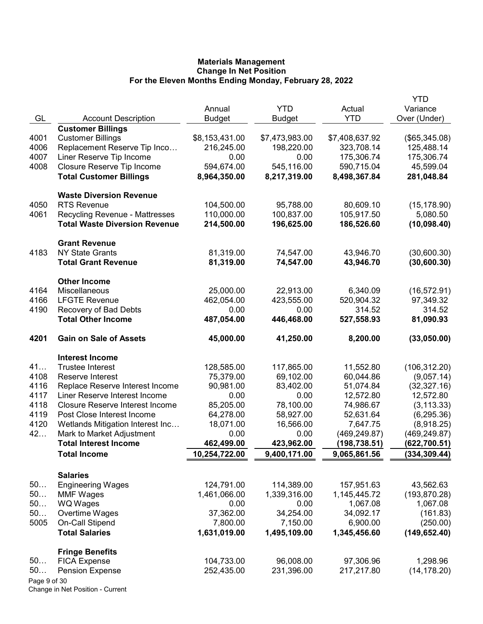|              |                                                   |                |                |                        | YTD                        |
|--------------|---------------------------------------------------|----------------|----------------|------------------------|----------------------------|
|              |                                                   | Annual         | <b>YTD</b>     | Actual                 | Variance                   |
| GL           | <b>Account Description</b>                        | <b>Budget</b>  | Budget         | <b>YTD</b>             | Over (Under)               |
|              | <b>Customer Billings</b>                          |                |                |                        |                            |
| 4001         | <b>Customer Billings</b>                          | \$8,153,431.00 | \$7,473,983.00 | \$7,408,637.92         | (\$65,345.08)              |
| 4006         | Replacement Reserve Tip Inco                      | 216,245.00     | 198,220.00     | 323,708.14             | 125,488.14                 |
| 4007         | Liner Reserve Tip Income                          | 0.00           | 0.00           | 175,306.74             | 175,306.74                 |
| 4008         | Closure Reserve Tip Income                        | 594,674.00     | 545,116.00     | 590,715.04             | 45,599.04                  |
|              | <b>Total Customer Billings</b>                    | 8,964,350.00   | 8,217,319.00   | 8,498,367.84           | 281,048.84                 |
|              | <b>Waste Diversion Revenue</b>                    |                |                |                        |                            |
| 4050         | <b>RTS Revenue</b>                                | 104,500.00     | 95,788.00      | 80,609.10              | (15, 178.90)               |
| 4061         | <b>Recycling Revenue - Mattresses</b>             | 110,000.00     | 100,837.00     | 105,917.50             | 5,080.50                   |
|              | <b>Total Waste Diversion Revenue</b>              | 214,500.00     | 196,625.00     | 186,526.60             | (10,098.40)                |
|              | <b>Grant Revenue</b>                              |                |                |                        |                            |
| 4183         | <b>NY State Grants</b>                            | 81,319.00      | 74,547.00      | 43,946.70              | (30,600.30)                |
|              | <b>Total Grant Revenue</b>                        | 81,319.00      | 74,547.00      | 43,946.70              | (30,600.30)                |
|              | <b>Other Income</b>                               |                |                |                        |                            |
| 4164         | Miscellaneous                                     | 25,000.00      | 22,913.00      | 6,340.09               | (16, 572.91)               |
| 4166         | <b>LFGTE Revenue</b>                              | 462,054.00     | 423,555.00     | 520,904.32             | 97,349.32                  |
| 4190         | Recovery of Bad Debts                             | 0.00           | 0.00           | 314.52                 | 314.52                     |
|              | <b>Total Other Income</b>                         | 487,054.00     | 446,468.00     | 527,558.93             | 81,090.93                  |
| 4201         | <b>Gain on Sale of Assets</b>                     | 45,000.00      | 41,250.00      | 8,200.00               | (33,050.00)                |
|              |                                                   |                |                |                        |                            |
| 41           | <b>Interest Income</b><br><b>Trustee Interest</b> | 128,585.00     | 117,865.00     |                        | (106, 312.20)              |
| 4108         | Reserve Interest                                  | 75,379.00      | 69,102.00      | 11,552.80<br>60,044.86 |                            |
| 4116         | Replace Reserve Interest Income                   | 90,981.00      | 83,402.00      | 51,074.84              | (9,057.14)<br>(32, 327.16) |
| 4117         | Liner Reserve Interest Income                     | 0.00           | 0.00           | 12,572.80              | 12,572.80                  |
| 4118         | <b>Closure Reserve Interest Income</b>            | 85,205.00      | 78,100.00      | 74,986.67              | (3, 113.33)                |
| 4119         | Post Close Interest Income                        | 64,278.00      | 58,927.00      | 52,631.64              | (6, 295.36)                |
| 4120         | Wetlands Mitigation Interest Inc                  | 18,071.00      | 16,566.00      | 7,647.75               | (8,918.25)                 |
| 42           | Mark to Market Adjustment                         | 0.00           | 0.00           | (469, 249.87)          | (469, 249.87)              |
|              | <b>Total Interest Income</b>                      | 462,499.00     | 423,962.00     | (198, 738.51)          | (622, 700.51)              |
|              | <b>Total Income</b>                               | 10,254,722.00  | 9,400,171.00   | 9,065,861.56           | (334, 309.44)              |
|              |                                                   |                |                |                        |                            |
|              | <b>Salaries</b>                                   |                |                |                        |                            |
| 50           | <b>Engineering Wages</b>                          | 124,791.00     | 114,389.00     | 157,951.63             | 43,562.63                  |
| 50           | <b>MMF Wages</b>                                  | 1,461,066.00   | 1,339,316.00   | 1,145,445.72           | (193, 870.28)              |
| 50           | WQ Wages                                          | 0.00           | 0.00           | 1,067.08               | 1,067.08                   |
| 50           | Overtime Wages                                    | 37,362.00      | 34,254.00      | 34,092.17              | (161.83)                   |
| 5005         | On-Call Stipend                                   | 7,800.00       | 7,150.00       | 6,900.00               | (250.00)                   |
|              | <b>Total Salaries</b>                             | 1,631,019.00   | 1,495,109.00   | 1,345,456.60           | (149, 652.40)              |
|              | <b>Fringe Benefits</b>                            |                |                |                        |                            |
| 50           | <b>FICA Expense</b>                               | 104,733.00     | 96,008.00      | 97,306.96              | 1,298.96                   |
| 50           | <b>Pension Expense</b>                            | 252,435.00     | 231,396.00     | 217,217.80             | (14, 178.20)               |
| Page 9 of 30 |                                                   |                |                |                        |                            |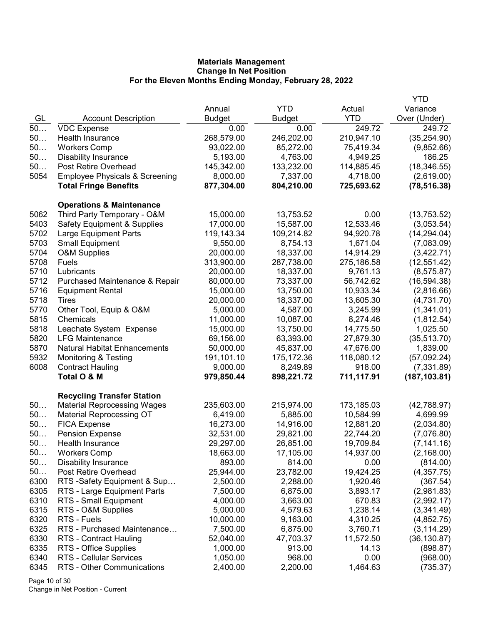|      |                                           |               |            |            | <b>YTD</b>    |
|------|-------------------------------------------|---------------|------------|------------|---------------|
|      |                                           | Annual        | <b>YTD</b> | Actual     | Variance      |
| GL   | <b>Account Description</b>                | <b>Budget</b> | Budget     | <b>YTD</b> | Over (Under)  |
| 50   | <b>VDC Expense</b>                        | 0.00          | 0.00       | 249.72     | 249.72        |
| 50   | Health Insurance                          | 268,579.00    | 246,202.00 | 210,947.10 | (35, 254.90)  |
| 50   | <b>Workers Comp</b>                       | 93,022.00     | 85,272.00  | 75,419.34  | (9,852.66)    |
| 50   | <b>Disability Insurance</b>               | 5,193.00      | 4,763.00   | 4,949.25   | 186.25        |
| 50   | Post Retire Overhead                      | 145,342.00    | 133,232.00 | 114,885.45 | (18, 346.55)  |
| 5054 | <b>Employee Physicals &amp; Screening</b> | 8,000.00      | 7,337.00   | 4,718.00   | (2,619.00)    |
|      | <b>Total Fringe Benefits</b>              | 877,304.00    | 804,210.00 | 725,693.62 | (78, 516.38)  |
|      | <b>Operations &amp; Maintenance</b>       |               |            |            |               |
| 5062 | Third Party Temporary - O&M               | 15,000.00     | 13,753.52  | 0.00       | (13,753.52)   |
| 5403 | <b>Safety Equipment &amp; Supplies</b>    | 17,000.00     | 15,587.00  | 12,533.46  | (3,053.54)    |
| 5702 | Large Equipment Parts                     | 119,143.34    | 109,214.82 | 94,920.78  | (14, 294.04)  |
| 5703 | <b>Small Equipment</b>                    | 9,550.00      | 8,754.13   | 1,671.04   | (7,083.09)    |
| 5704 | <b>O&amp;M Supplies</b>                   | 20,000.00     | 18,337.00  | 14,914.29  | (3,422.71)    |
| 5708 | Fuels                                     | 313,900.00    | 287,738.00 | 275,186.58 | (12, 551.42)  |
| 5710 | Lubricants                                | 20,000.00     | 18,337.00  | 9,761.13   | (8, 575.87)   |
| 5712 | Purchased Maintenance & Repair            | 80,000.00     | 73,337.00  | 56,742.62  | (16, 594.38)  |
| 5716 | <b>Equipment Rental</b>                   | 15,000.00     | 13,750.00  | 10,933.34  | (2,816.66)    |
| 5718 | Tires                                     | 20,000.00     | 18,337.00  | 13,605.30  | (4,731.70)    |
| 5770 | Other Tool, Equip & O&M                   | 5,000.00      | 4,587.00   | 3,245.99   | (1,341.01)    |
| 5815 | Chemicals                                 | 11,000.00     | 10,087.00  | 8,274.46   | (1,812.54)    |
| 5818 | Leachate System Expense                   | 15,000.00     | 13,750.00  | 14,775.50  | 1,025.50      |
| 5820 | <b>LFG Maintenance</b>                    | 69,156.00     | 63,393.00  | 27,879.30  | (35, 513.70)  |
| 5870 | <b>Natural Habitat Enhancements</b>       | 50,000.00     | 45,837.00  | 47,676.00  | 1,839.00      |
| 5932 | <b>Monitoring &amp; Testing</b>           | 191,101.10    | 175,172.36 | 118,080.12 | (57,092.24)   |
| 6008 | <b>Contract Hauling</b>                   | 9,000.00      | 8,249.89   | 918.00     | (7,331.89)    |
|      | Total O & M                               | 979,850.44    | 898,221.72 | 711,117.91 | (187, 103.81) |
|      | <b>Recycling Transfer Station</b>         |               |            |            |               |
| 50   | <b>Material Reprocessing Wages</b>        | 235,603.00    | 215,974.00 | 173,185.03 | (42,788.97)   |
| 50   | <b>Material Reprocessing OT</b>           | 6,419.00      | 5,885.00   | 10,584.99  | 4,699.99      |
| 50   | <b>FICA Expense</b>                       | 16,273.00     | 14,916.00  | 12,881.20  | (2,034.80)    |
| 50   | <b>Pension Expense</b>                    | 32,531.00     | 29,821.00  | 22,744.20  | (7,076.80)    |
| 50   | Health Insurance                          | 29,297.00     | 26,851.00  | 19,709.84  | (7, 141.16)   |
| 50   | <b>Workers Comp</b>                       | 18,663.00     | 17,105.00  | 14,937.00  | (2, 168.00)   |
| 50   | <b>Disability Insurance</b>               | 893.00        | 814.00     | 0.00       | (814.00)      |
| 50   | Post Retire Overhead                      | 25,944.00     | 23,782.00  | 19,424.25  | (4,357.75)    |
| 6300 | RTS -Safety Equipment & Sup               | 2,500.00      | 2,288.00   | 1,920.46   | (367.54)      |
| 6305 | RTS - Large Equipment Parts               | 7,500.00      | 6,875.00   | 3,893.17   | (2,981.83)    |
| 6310 | RTS - Small Equipment                     | 4,000.00      | 3,663.00   | 670.83     | (2,992.17)    |
| 6315 | RTS - O&M Supplies                        | 5,000.00      | 4,579.63   | 1,238.14   | (3,341.49)    |
| 6320 | RTS - Fuels                               | 10,000.00     | 9,163.00   | 4,310.25   | (4,852.75)    |
| 6325 | RTS - Purchased Maintenance               | 7,500.00      | 6,875.00   | 3,760.71   | (3, 114.29)   |
| 6330 | <b>RTS - Contract Hauling</b>             | 52,040.00     | 47,703.37  | 11,572.50  | (36, 130.87)  |
| 6335 | RTS - Office Supplies                     | 1,000.00      | 913.00     | 14.13      | (898.87)      |
| 6340 | RTS - Cellular Services                   | 1,050.00      | 968.00     | 0.00       | (968.00)      |
| 6345 | RTS - Other Communications                | 2,400.00      | 2,200.00   | 1,464.63   | (735.37)      |
|      |                                           |               |            |            |               |

Page 10 of 30 Change in Net Position - Current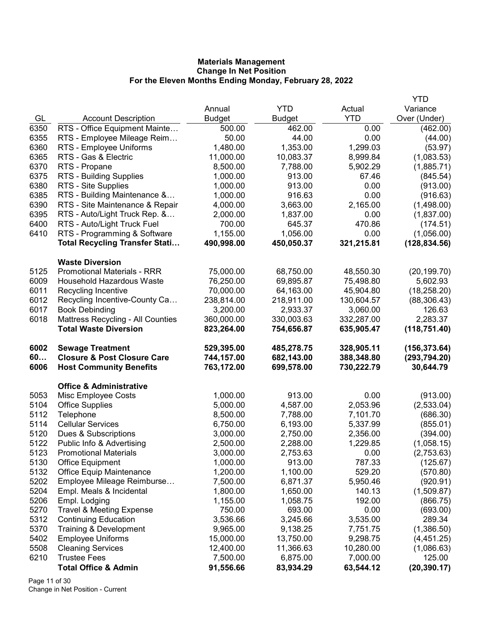|      |                                                     |               |                      |            | <b>YTD</b>             |
|------|-----------------------------------------------------|---------------|----------------------|------------|------------------------|
|      |                                                     | Annual        | <b>YTD</b>           | Actual     | Variance               |
| GL   | <b>Account Description</b>                          | <b>Budget</b> | <b>Budget</b>        | <b>YTD</b> | Over (Under)           |
| 6350 | RTS - Office Equipment Mainte                       | 500.00        | 462.00               | 0.00       | (462.00)               |
| 6355 | RTS - Employee Mileage Reim                         | 50.00         | 44.00                | 0.00       | (44.00)                |
| 6360 | RTS - Employee Uniforms                             | 1,480.00      | 1,353.00             | 1,299.03   | (53.97)                |
| 6365 | RTS - Gas & Electric                                | 11,000.00     | 10,083.37            | 8,999.84   | (1,083.53)             |
| 6370 | RTS - Propane                                       | 8,500.00      | 7,788.00             | 5,902.29   | (1,885.71)             |
| 6375 | RTS - Building Supplies                             | 1,000.00      | 913.00               | 67.46      | (845.54)               |
| 6380 | RTS - Site Supplies                                 | 1,000.00      | 913.00               | 0.00       | (913.00)               |
| 6385 | RTS - Building Maintenance &                        | 1,000.00      | 916.63               | 0.00       | (916.63)               |
| 6390 | RTS - Site Maintenance & Repair                     | 4,000.00      | 3,663.00             | 2,165.00   | (1,498.00)             |
| 6395 | RTS - Auto/Light Truck Rep. &                       | 2,000.00      | 1,837.00             | 0.00       | (1,837.00)             |
| 6400 | RTS - Auto/Light Truck Fuel                         | 700.00        | 645.37               | 470.86     | (174.51)               |
| 6410 | RTS - Programming & Software                        | 1,155.00      | 1,056.00             | 0.00       | (1,056.00)             |
|      | <b>Total Recycling Transfer Stati</b>               | 490,998.00    | 450,050.37           | 321,215.81 | (128, 834.56)          |
|      | <b>Waste Diversion</b>                              |               |                      |            |                        |
| 5125 | <b>Promotional Materials - RRR</b>                  | 75,000.00     | 68,750.00            | 48,550.30  | (20, 199.70)           |
| 6009 | Household Hazardous Waste                           | 76,250.00     | 69,895.87            | 75,498.80  | 5,602.93               |
| 6011 | Recycling Incentive                                 | 70,000.00     | 64,163.00            | 45,904.80  | (18, 258.20)           |
| 6012 | Recycling Incentive-County Ca                       | 238,814.00    | 218,911.00           | 130,604.57 | (88, 306.43)           |
| 6017 | <b>Book Debinding</b>                               | 3,200.00      | 2,933.37             | 3,060.00   | 126.63                 |
| 6018 | Mattress Recycling - All Counties                   | 360,000.00    | 330,003.63           | 332,287.00 | 2,283.37               |
|      | <b>Total Waste Diversion</b>                        | 823,264.00    | 754,656.87           | 635,905.47 | (118, 751.40)          |
|      |                                                     |               |                      |            |                        |
| 6002 | <b>Sewage Treatment</b>                             | 529,395.00    | 485,278.75           | 328,905.11 | (156, 373.64)          |
| 60   | <b>Closure &amp; Post Closure Care</b>              | 744,157.00    | 682,143.00           | 388,348.80 | (293, 794.20)          |
| 6006 | <b>Host Community Benefits</b>                      | 763,172.00    | 699,578.00           | 730,222.79 | 30,644.79              |
|      |                                                     |               |                      |            |                        |
|      | <b>Office &amp; Administrative</b>                  |               |                      |            |                        |
| 5053 | Misc Employee Costs                                 | 1,000.00      | 913.00               | 0.00       | (913.00)               |
| 5104 | <b>Office Supplies</b>                              | 5,000.00      | 4,587.00             | 2,053.96   | (2,533.04)             |
| 5112 | Telephone                                           | 8,500.00      | 7,788.00             | 7,101.70   | (686.30)               |
| 5114 | <b>Cellular Services</b>                            | 6,750.00      | 6,193.00             | 5,337.99   | (855.01)               |
| 5120 | Dues & Subscriptions                                | 3,000.00      | 2,750.00             | 2,356.00   | (394.00)               |
| 5122 | Public Info & Advertising                           | 2,500.00      | 2,288.00             | 1,229.85   | (1,058.15)             |
| 5123 | <b>Promotional Materials</b>                        | 3,000.00      | 2,753.63             | 0.00       | (2,753.63)             |
| 5130 |                                                     | 1,000.00      | 913.00               | 787.33     |                        |
| 5132 | <b>Office Equipment</b><br>Office Equip Maintenance | 1,200.00      | 1,100.00             | 529.20     | (125.67)<br>(570.80)   |
| 5202 | Employee Mileage Reimburse                          | 7,500.00      | 6,871.37             | 5,950.46   | (920.91)               |
| 5204 | Empl. Meals & Incidental                            | 1,800.00      |                      | 140.13     |                        |
| 5206 | Empl. Lodging                                       | 1,155.00      | 1,650.00<br>1,058.75 | 192.00     | (1,509.87)<br>(866.75) |
| 5270 | <b>Travel &amp; Meeting Expense</b>                 | 750.00        | 693.00               | 0.00       | (693.00)               |
| 5312 | <b>Continuing Education</b>                         | 3,536.66      | 3,245.66             | 3,535.00   | 289.34                 |
| 5370 | Training & Development                              | 9,965.00      | 9,138.25             | 7,751.75   | (1,386.50)             |
| 5402 | <b>Employee Uniforms</b>                            | 15,000.00     | 13,750.00            | 9,298.75   | (4,451.25)             |
| 5508 | <b>Cleaning Services</b>                            | 12,400.00     | 11,366.63            | 10,280.00  | (1,086.63)             |
| 6210 | <b>Trustee Fees</b>                                 | 7,500.00      | 6,875.00             | 7,000.00   | 125.00                 |

Page 11 of 30 Change in Net Position - Current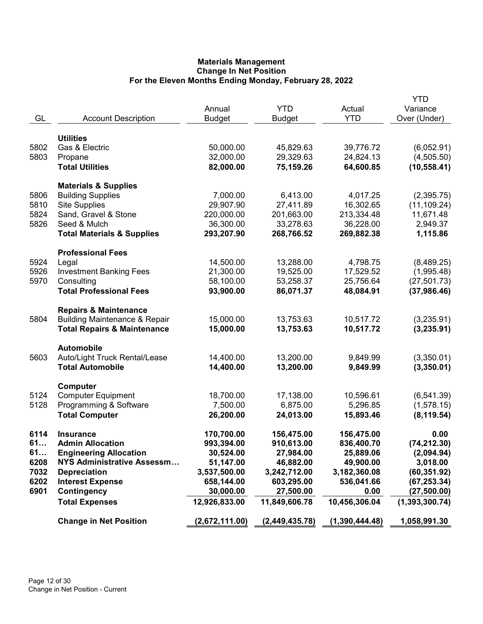| GL                                               | <b>Account Description</b>                                                                                                                                                                                         | Annual<br><b>Budget</b>                                                                                        | <b>YTD</b><br><b>Budget</b>                                                                                    | Actual<br><b>YTD</b>                                                                                      | YTD<br>Variance<br>Over (Under)                                                                                    |
|--------------------------------------------------|--------------------------------------------------------------------------------------------------------------------------------------------------------------------------------------------------------------------|----------------------------------------------------------------------------------------------------------------|----------------------------------------------------------------------------------------------------------------|-----------------------------------------------------------------------------------------------------------|--------------------------------------------------------------------------------------------------------------------|
| 5802<br>5803                                     | <b>Utilities</b><br>Gas & Electric<br>Propane<br><b>Total Utilities</b>                                                                                                                                            | 50,000.00<br>32,000.00<br>82,000.00                                                                            | 45,829.63<br>29,329.63<br>75,159.26                                                                            | 39,776.72<br>24,824.13<br>64,600.85                                                                       | (6,052.91)<br>(4,505.50)<br>(10, 558.41)                                                                           |
| 5806<br>5810<br>5824<br>5826                     | <b>Materials &amp; Supplies</b><br><b>Building Supplies</b><br><b>Site Supplies</b><br>Sand, Gravel & Stone<br>Seed & Mulch<br><b>Total Materials &amp; Supplies</b>                                               | 7,000.00<br>29,907.90<br>220,000.00<br>36,300.00<br>293,207.90                                                 | 6,413.00<br>27,411.89<br>201,663.00<br>33,278.63<br>268,766.52                                                 | 4,017.25<br>16,302.65<br>213,334.48<br>36,228.00<br>269,882.38                                            | (2,395.75)<br>(11, 109.24)<br>11,671.48<br>2,949.37<br>1,115.86                                                    |
| 5924<br>5926<br>5970                             | <b>Professional Fees</b><br>Legal<br><b>Investment Banking Fees</b><br>Consulting<br><b>Total Professional Fees</b>                                                                                                | 14,500.00<br>21,300.00<br>58,100.00<br>93,900.00                                                               | 13,288.00<br>19,525.00<br>53,258.37<br>86,071.37                                                               | 4,798.75<br>17,529.52<br>25,756.64<br>48,084.91                                                           | (8,489.25)<br>(1,995.48)<br>(27, 501.73)<br>(37,986.46)                                                            |
| 5804                                             | <b>Repairs &amp; Maintenance</b><br><b>Building Maintenance &amp; Repair</b><br><b>Total Repairs &amp; Maintenance</b>                                                                                             | 15,000.00<br>15,000.00                                                                                         | 13,753.63<br>13,753.63                                                                                         | 10,517.72<br>10,517.72                                                                                    | (3,235.91)<br>(3,235.91)                                                                                           |
| 5603                                             | <b>Automobile</b><br>Auto/Light Truck Rental/Lease<br><b>Total Automobile</b>                                                                                                                                      | 14,400.00<br>14,400.00                                                                                         | 13,200.00<br>13,200.00                                                                                         | 9,849.99<br>9,849.99                                                                                      | (3,350.01)<br>(3,350.01)                                                                                           |
| 5124<br>5128                                     | Computer<br><b>Computer Equipment</b><br>Programming & Software<br><b>Total Computer</b>                                                                                                                           | 18,700.00<br>7,500.00<br>26,200.00                                                                             | 17,138.00<br>6,875.00<br>24,013.00                                                                             | 10,596.61<br>5,296.85<br>15,893.46                                                                        | (6, 541.39)<br>(1,578.15)<br>(8, 119.54)                                                                           |
| 6114<br>61<br>61<br>6208<br>7032<br>6202<br>6901 | <b>Insurance</b><br><b>Admin Allocation</b><br><b>Engineering Allocation</b><br><b>NYS Administrative Assessm</b><br><b>Depreciation</b><br><b>Interest Expense</b><br><b>Contingency</b><br><b>Total Expenses</b> | 170,700.00<br>993,394.00<br>30,524.00<br>51,147.00<br>3,537,500.00<br>658,144.00<br>30,000.00<br>12,926,833.00 | 156,475.00<br>910,613.00<br>27,984.00<br>46,882.00<br>3,242,712.00<br>603,295.00<br>27,500.00<br>11,849,606.78 | 156,475.00<br>836,400.70<br>25,889.06<br>49,900.00<br>3,182,360.08<br>536,041.66<br>0.00<br>10,456,306.04 | 0.00<br>(74, 212.30)<br>(2,094.94)<br>3,018.00<br>(60, 351.92)<br>(67, 253.34)<br>(27, 500.00)<br>(1, 393, 300.74) |
|                                                  | <b>Change in Net Position</b>                                                                                                                                                                                      | (2,672,111.00)                                                                                                 | (2,449,435.78)                                                                                                 | (1,390,444.48)                                                                                            | 1,058,991.30                                                                                                       |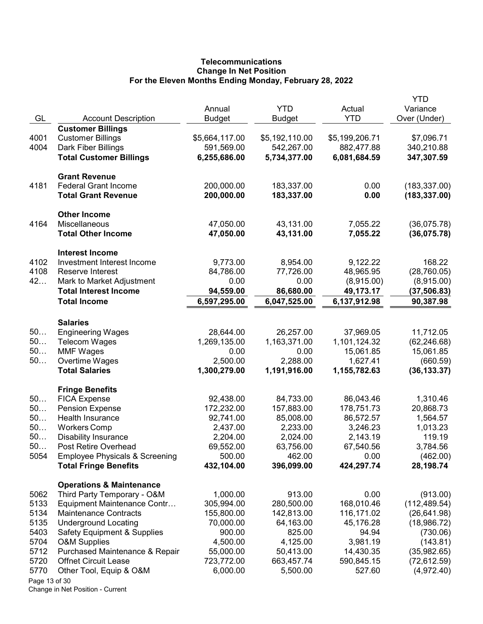# **Telecommunications** Change In Net Position For the Eleven Months Ending Monday, February 28, 2022

|               |                                           | Annual                    | <b>YTD</b>                | Actual                    | <b>YTD</b><br>Variance    |
|---------------|-------------------------------------------|---------------------------|---------------------------|---------------------------|---------------------------|
| GL            | <b>Account Description</b>                | <b>Budget</b>             | Budget                    | <b>YTD</b>                | Over (Under)              |
|               | <b>Customer Billings</b>                  |                           |                           |                           |                           |
| 4001          | <b>Customer Billings</b>                  | \$5,664,117.00            | \$5,192,110.00            | \$5,199,206.71            | \$7,096.71                |
| 4004          | Dark Fiber Billings                       | 591,569.00                | 542,267.00                | 882,477.88                | 340,210.88                |
|               | <b>Total Customer Billings</b>            | 6,255,686.00              | 5,734,377.00              | 6,081,684.59              | 347,307.59                |
|               |                                           |                           |                           |                           |                           |
|               | <b>Grant Revenue</b>                      |                           |                           |                           |                           |
| 4181          | <b>Federal Grant Income</b>               | 200,000.00                | 183,337.00                | 0.00                      | (183, 337.00)             |
|               | <b>Total Grant Revenue</b>                | 200,000.00                | 183,337.00                | 0.00                      | (183, 337.00)             |
|               | <b>Other Income</b>                       |                           |                           |                           |                           |
| 4164          | Miscellaneous                             | 47,050.00                 | 43,131.00                 | 7,055.22                  | (36,075.78)               |
|               | <b>Total Other Income</b>                 | 47,050.00                 | 43,131.00                 | 7,055.22                  | (36,075.78)               |
|               | <b>Interest Income</b>                    |                           |                           |                           |                           |
| 4102          | Investment Interest Income                | 9,773.00                  | 8,954.00                  | 9,122.22                  | 168.22                    |
| 4108          | Reserve Interest                          | 84,786.00                 | 77,726.00                 | 48,965.95                 | (28, 760.05)              |
| 42            | Mark to Market Adjustment                 | 0.00                      | 0.00                      | (8,915.00)                | (8,915.00)                |
|               | <b>Total Interest Income</b>              | 94,559.00                 | 86,680.00                 | 49,173.17                 | (37, 506.83)              |
|               | <b>Total Income</b>                       | 6,597,295.00              | 6,047,525.00              | 6,137,912.98              | 90,387.98                 |
|               |                                           |                           |                           |                           |                           |
|               | <b>Salaries</b>                           |                           |                           |                           |                           |
| 50<br>50      | <b>Engineering Wages</b>                  | 28,644.00<br>1,269,135.00 | 26,257.00<br>1,163,371.00 | 37,969.05<br>1,101,124.32 | 11,712.05                 |
| 50            | <b>Telecom Wages</b><br><b>MMF Wages</b>  | 0.00                      | 0.00                      | 15,061.85                 | (62, 246.68)<br>15,061.85 |
| 50            | Overtime Wages                            | 2,500.00                  | 2,288.00                  | 1,627.41                  | (660.59)                  |
|               | <b>Total Salaries</b>                     | 1,300,279.00              | 1,191,916.00              | 1,155,782.63              | (36, 133.37)              |
|               |                                           |                           |                           |                           |                           |
|               | <b>Fringe Benefits</b>                    |                           |                           |                           |                           |
| 50            | <b>FICA Expense</b>                       | 92,438.00                 | 84,733.00                 | 86,043.46                 | 1,310.46                  |
| 50            | <b>Pension Expense</b>                    | 172,232.00                | 157,883.00                | 178,751.73                | 20,868.73                 |
| 50            | Health Insurance                          | 92,741.00                 | 85,008.00                 | 86,572.57                 | 1,564.57                  |
| 50            | <b>Workers Comp</b>                       | 2,437.00                  | 2,233.00                  | 3,246.23                  | 1,013.23                  |
| 50            | <b>Disability Insurance</b>               | 2,204.00                  | 2,024.00                  | 2,143.19                  | 119.19                    |
| 50            | Post Retire Overhead                      | 69,552.00                 | 63,756.00                 | 67,540.56                 | 3,784.56                  |
| 5054          | <b>Employee Physicals &amp; Screening</b> | 500.00                    | 462.00                    | 0.00                      | (462.00)                  |
|               | <b>Total Fringe Benefits</b>              | 432,104.00                | 396,099.00                | 424,297.74                | 28,198.74                 |
|               | <b>Operations &amp; Maintenance</b>       |                           |                           |                           |                           |
| 5062          | Third Party Temporary - O&M               | 1,000.00                  | 913.00                    | 0.00                      | (913.00)                  |
| 5133          | Equipment Maintenance Contr               | 305,994.00                | 280,500.00                | 168,010.46                | (112, 489.54)             |
| 5134          | <b>Maintenance Contracts</b>              | 155,800.00                | 142,813.00                | 116,171.02                | (26, 641.98)              |
| 5135          | <b>Underground Locating</b>               | 70,000.00                 | 64,163.00                 | 45,176.28                 | (18,986.72)               |
| 5403          | <b>Safety Equipment &amp; Supplies</b>    | 900.00                    | 825.00                    | 94.94                     | (730.06)                  |
| 5704          | <b>O&amp;M Supplies</b>                   | 4,500.00                  | 4,125.00                  | 3,981.19                  | (143.81)                  |
| 5712          | Purchased Maintenance & Repair            | 55,000.00                 | 50,413.00                 | 14,430.35                 | (35,982.65)               |
| 5720          | <b>Offnet Circuit Lease</b>               | 723,772.00                | 663,457.74                | 590,845.15                | (72, 612.59)              |
| 5770          | Other Tool, Equip & O&M                   | 6,000.00                  | 5,500.00                  | 527.60                    | (4,972.40)                |
| Page 13 of 30 |                                           |                           |                           |                           |                           |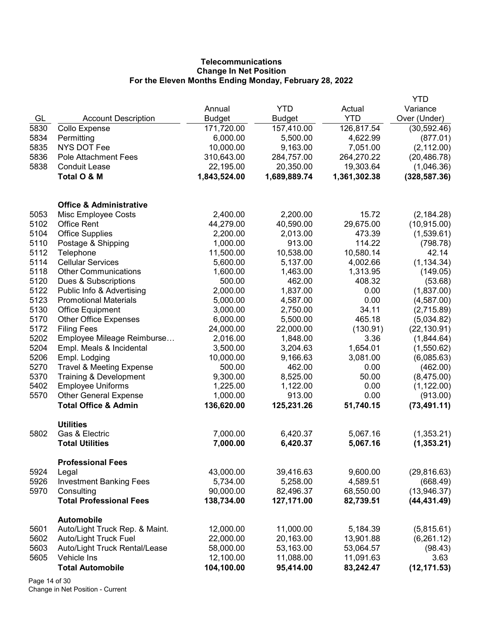# **Telecommunications** Change In Net Position For the Eleven Months Ending Monday, February 28, 2022

|      |                                                     |               |               |              | YTD           |
|------|-----------------------------------------------------|---------------|---------------|--------------|---------------|
|      |                                                     | Annual        | <b>YTD</b>    | Actual       | Variance      |
| GL   | <b>Account Description</b>                          | <b>Budget</b> | <b>Budget</b> | <b>YTD</b>   | Over (Under)  |
| 5830 | Collo Expense                                       | 171,720.00    | 157,410.00    | 126,817.54   | (30, 592.46)  |
| 5834 | Permitting                                          | 6,000.00      | 5,500.00      | 4,622.99     | (877.01)      |
| 5835 | <b>NYS DOT Fee</b>                                  | 10,000.00     | 9,163.00      | 7,051.00     | (2, 112.00)   |
| 5836 | <b>Pole Attachment Fees</b>                         | 310,643.00    | 284,757.00    | 264,270.22   | (20, 486.78)  |
| 5838 | <b>Conduit Lease</b>                                | 22,195.00     | 20,350.00     | 19,303.64    | (1,046.36)    |
|      | Total O & M                                         | 1,843,524.00  | 1,689,889.74  | 1,361,302.38 | (328, 587.36) |
|      | <b>Office &amp; Administrative</b>                  |               |               |              |               |
| 5053 | Misc Employee Costs                                 | 2,400.00      | 2,200.00      | 15.72        | (2, 184.28)   |
| 5102 | <b>Office Rent</b>                                  | 44,279.00     | 40,590.00     | 29,675.00    | (10, 915.00)  |
| 5104 | <b>Office Supplies</b>                              | 2,200.00      | 2,013.00      | 473.39       | (1,539.61)    |
| 5110 | Postage & Shipping                                  | 1,000.00      | 913.00        | 114.22       | (798.78)      |
| 5112 | Telephone                                           | 11,500.00     | 10,538.00     | 10,580.14    | 42.14         |
| 5114 | <b>Cellular Services</b>                            | 5,600.00      | 5,137.00      | 4,002.66     | (1, 134.34)   |
| 5118 | <b>Other Communications</b>                         | 1,600.00      | 1,463.00      | 1,313.95     | (149.05)      |
| 5120 | Dues & Subscriptions                                | 500.00        | 462.00        | 408.32       | (53.68)       |
| 5122 | Public Info & Advertising                           | 2,000.00      | 1,837.00      | 0.00         | (1,837.00)    |
| 5123 | <b>Promotional Materials</b>                        | 5,000.00      | 4,587.00      | 0.00         | (4,587.00)    |
| 5130 | <b>Office Equipment</b>                             | 3,000.00      | 2,750.00      | 34.11        | (2,715.89)    |
| 5170 | <b>Other Office Expenses</b>                        | 6,000.00      | 5,500.00      | 465.18       | (5,034.82)    |
| 5172 | <b>Filing Fees</b>                                  | 24,000.00     | 22,000.00     | (130.91)     | (22, 130.91)  |
| 5202 | Employee Mileage Reimburse                          | 2,016.00      | 1,848.00      | 3.36         | (1,844.64)    |
| 5204 | Empl. Meals & Incidental                            | 3,500.00      | 3,204.63      | 1,654.01     | (1,550.62)    |
| 5206 | Empl. Lodging                                       | 10,000.00     | 9,166.63      | 3,081.00     | (6,085.63)    |
| 5270 | <b>Travel &amp; Meeting Expense</b>                 | 500.00        | 462.00        | 0.00         | (462.00)      |
| 5370 | Training & Development                              | 9,300.00      | 8,525.00      | 50.00        | (8,475.00)    |
| 5402 | <b>Employee Uniforms</b>                            | 1,225.00      | 1,122.00      | 0.00         | (1, 122.00)   |
| 5570 | <b>Other General Expense</b>                        | 1,000.00      | 913.00        | 0.00         | (913.00)      |
|      | <b>Total Office &amp; Admin</b>                     | 136,620.00    | 125,231.26    | 51,740.15    | (73, 491.11)  |
| 5802 | <b>Utilities</b><br>Gas & Electric                  | 7,000.00      | 6,420.37      | 5,067.16     | (1,353.21)    |
|      | <b>Total Utilities</b>                              | 7,000.00      | 6,420.37      | 5,067.16     | (1, 353.21)   |
|      | <b>Professional Fees</b>                            |               |               |              |               |
| 5924 | Legal                                               | 43,000.00     | 39,416.63     | 9,600.00     | (29, 816.63)  |
| 5926 | <b>Investment Banking Fees</b>                      | 5,734.00      | 5,258.00      | 4,589.51     | (668.49)      |
| 5970 | Consulting                                          | 90,000.00     | 82,496.37     | 68,550.00    | (13, 946.37)  |
|      | <b>Total Professional Fees</b>                      | 138,734.00    | 127,171.00    | 82,739.51    | (44, 431.49)  |
| 5601 | <b>Automobile</b><br>Auto/Light Truck Rep. & Maint. | 12,000.00     | 11,000.00     | 5,184.39     | (5,815.61)    |
| 5602 | <b>Auto/Light Truck Fuel</b>                        | 22,000.00     | 20,163.00     | 13,901.88    | (6,261.12)    |
| 5603 | Auto/Light Truck Rental/Lease                       | 58,000.00     | 53,163.00     | 53,064.57    | (98.43)       |
| 5605 | Vehicle Ins                                         | 12,100.00     | 11,088.00     | 11,091.63    | 3.63          |
|      | <b>Total Automobile</b>                             | 104,100.00    | 95,414.00     | 83,242.47    | (12, 171.53)  |
|      |                                                     |               |               |              |               |

Page 14 of 30 Change in Net Position - Current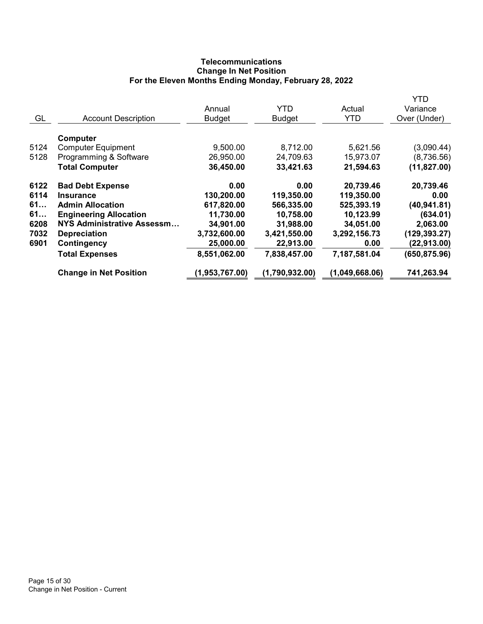# **Telecommunications** Change In Net Position For the Eleven Months Ending Monday, February 28, 2022

|      |                                   |                |                |                | <b>YTD</b>    |
|------|-----------------------------------|----------------|----------------|----------------|---------------|
|      |                                   | Annual         | <b>YTD</b>     | Actual         | Variance      |
| GL   | <b>Account Description</b>        | <b>Budget</b>  | <b>Budget</b>  | <b>YTD</b>     | Over (Under)  |
|      | Computer                          |                |                |                |               |
| 5124 | <b>Computer Equipment</b>         | 9,500.00       | 8,712.00       | 5,621.56       | (3,090.44)    |
| 5128 | Programming & Software            | 26,950.00      | 24,709.63      | 15,973.07      | (8,736.56)    |
|      | <b>Total Computer</b>             | 36,450.00      | 33,421.63      | 21,594.63      | (11, 827.00)  |
| 6122 | <b>Bad Debt Expense</b>           | 0.00           | 0.00           | 20,739.46      | 20,739.46     |
| 6114 | <b>Insurance</b>                  | 130,200.00     | 119,350.00     | 119,350.00     | 0.00          |
| 61   | <b>Admin Allocation</b>           | 617,820.00     | 566,335.00     | 525,393.19     | (40, 941.81)  |
| 61   | <b>Engineering Allocation</b>     | 11,730.00      | 10,758.00      | 10,123.99      | (634.01)      |
| 6208 | <b>NYS Administrative Assessm</b> | 34,901.00      | 31,988.00      | 34,051.00      | 2,063.00      |
| 7032 | <b>Depreciation</b>               | 3,732,600.00   | 3,421,550.00   | 3,292,156.73   | (129, 393.27) |
| 6901 | Contingency                       | 25,000.00      | 22,913.00      | 0.00           | (22, 913.00)  |
|      | <b>Total Expenses</b>             | 8,551,062.00   | 7,838,457.00   | 7,187,581.04   | (650, 875.96) |
|      | <b>Change in Net Position</b>     | (1,953,767.00) | (1,790,932.00) | (1,049,668.06) | 741,263.94    |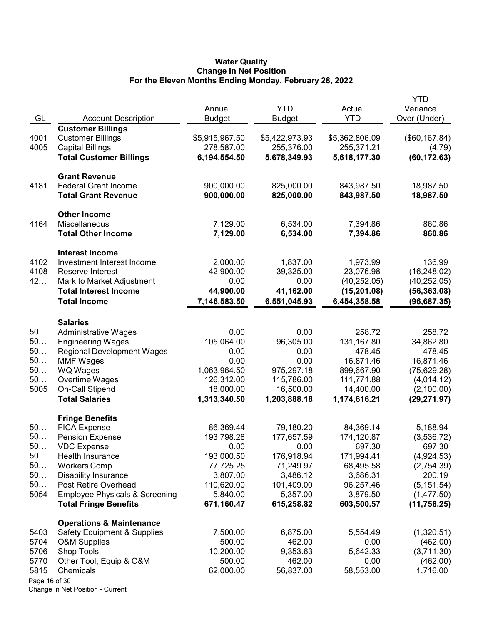### Water Quality Change In Net Position For the Eleven Months Ending Monday, February 28, 2022

|               |                                           |                |                |                | <b>YTD</b>     |
|---------------|-------------------------------------------|----------------|----------------|----------------|----------------|
|               |                                           | Annual         | <b>YTD</b>     | Actual         | Variance       |
| GL            | <b>Account Description</b>                | <b>Budget</b>  | Budget         | <b>YTD</b>     | Over (Under)   |
|               | <b>Customer Billings</b>                  |                |                |                |                |
| 4001          | <b>Customer Billings</b>                  | \$5,915,967.50 | \$5,422,973.93 | \$5,362,806.09 | (\$60, 167.84) |
| 4005          | <b>Capital Billings</b>                   | 278,587.00     | 255,376.00     | 255,371.21     | (4.79)         |
|               | <b>Total Customer Billings</b>            | 6,194,554.50   | 5,678,349.93   | 5,618,177.30   | (60, 172.63)   |
|               | <b>Grant Revenue</b>                      |                |                |                |                |
| 4181          | <b>Federal Grant Income</b>               | 900,000.00     | 825,000.00     | 843,987.50     | 18,987.50      |
|               | <b>Total Grant Revenue</b>                | 900,000.00     | 825,000.00     | 843,987.50     | 18,987.50      |
|               | <b>Other Income</b>                       |                |                |                |                |
| 4164          | Miscellaneous                             | 7,129.00       | 6,534.00       | 7,394.86       | 860.86         |
|               | <b>Total Other Income</b>                 | 7,129.00       | 6,534.00       | 7,394.86       | 860.86         |
|               | <b>Interest Income</b>                    |                |                |                |                |
| 4102          | Investment Interest Income                | 2,000.00       | 1,837.00       | 1,973.99       | 136.99         |
| 4108          | Reserve Interest                          | 42,900.00      | 39,325.00      | 23,076.98      | (16, 248.02)   |
| 42            | Mark to Market Adjustment                 | 0.00           | 0.00           | (40, 252.05)   | (40, 252.05)   |
|               | <b>Total Interest Income</b>              | 44,900.00      | 41,162.00      | (15,201.08)    | (56, 363.08)   |
|               | <b>Total Income</b>                       | 7,146,583.50   | 6,551,045.93   | 6,454,358.58   | (96, 687.35)   |
|               | <b>Salaries</b>                           |                |                |                |                |
| 50            | <b>Administrative Wages</b>               | 0.00           | 0.00           | 258.72         | 258.72         |
| 50            | <b>Engineering Wages</b>                  | 105,064.00     | 96,305.00      | 131,167.80     | 34,862.80      |
| 50            | <b>Regional Development Wages</b>         | 0.00           | 0.00           | 478.45         | 478.45         |
| 50            | <b>MMF Wages</b>                          | 0.00           | 0.00           | 16,871.46      | 16,871.46      |
| 50            | <b>WQ Wages</b>                           | 1,063,964.50   | 975,297.18     | 899,667.90     | (75, 629.28)   |
| 50            | Overtime Wages                            | 126,312.00     | 115,786.00     | 111,771.88     | (4,014.12)     |
| 5005          | On-Call Stipend                           | 18,000.00      | 16,500.00      | 14,400.00      | (2,100.00)     |
|               | <b>Total Salaries</b>                     | 1,313,340.50   | 1,203,888.18   | 1,174,616.21   | (29, 271.97)   |
|               | <b>Fringe Benefits</b>                    |                |                |                |                |
| 50            | <b>FICA Expense</b>                       | 86,369.44      | 79,180.20      | 84,369.14      | 5,188.94       |
| 50            | <b>Pension Expense</b>                    | 193,798.28     | 177,657.59     | 174,120.87     | (3,536.72)     |
| 50.           | <b>VDC Expense</b>                        | 0.00           | 0.00           | 697.30         | 697.30         |
| 50            | Health Insurance                          | 193,000.50     | 176,918.94     | 171,994.41     | (4,924.53)     |
| 50            | <b>Workers Comp</b>                       | 77,725.25      | 71,249.97      | 68,495.58      | (2,754.39)     |
| 50            | <b>Disability Insurance</b>               | 3,807.00       | 3,486.12       | 3,686.31       | 200.19         |
| 50            | Post Retire Overhead                      | 110,620.00     | 101,409.00     | 96,257.46      | (5, 151.54)    |
| 5054          | <b>Employee Physicals &amp; Screening</b> | 5,840.00       | 5,357.00       | 3,879.50       | (1,477.50)     |
|               | <b>Total Fringe Benefits</b>              | 671,160.47     | 615,258.82     | 603,500.57     | (11, 758.25)   |
|               | <b>Operations &amp; Maintenance</b>       |                |                |                |                |
| 5403          | <b>Safety Equipment &amp; Supplies</b>    | 7,500.00       | 6,875.00       | 5,554.49       | (1,320.51)     |
| 5704          | <b>O&amp;M Supplies</b>                   | 500.00         | 462.00         | 0.00           | (462.00)       |
| 5706          | Shop Tools                                | 10,200.00      | 9,353.63       | 5,642.33       | (3,711.30)     |
| 5770          | Other Tool, Equip & O&M                   | 500.00         | 462.00         | 0.00           | (462.00)       |
| 5815          | Chemicals                                 | 62,000.00      | 56,837.00      | 58,553.00      | 1,716.00       |
| Page 16 of 30 |                                           |                |                |                |                |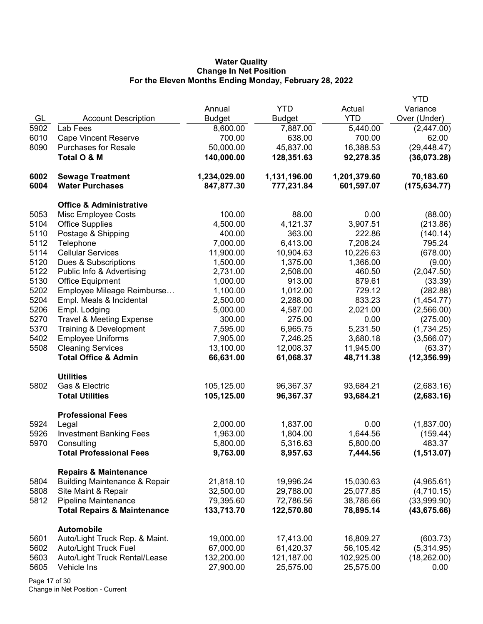# Water Quality Change In Net Position For the Eleven Months Ending Monday, February 28, 2022

|      |                                          |               |               |              | YTD           |
|------|------------------------------------------|---------------|---------------|--------------|---------------|
|      |                                          | Annual        | <b>YTD</b>    | Actual       | Variance      |
| GL   | <b>Account Description</b>               | <b>Budget</b> | <b>Budget</b> | <b>YTD</b>   | Over (Under)  |
| 5902 | Lab Fees                                 | 8,600.00      | 7,887.00      | 5,440.00     | (2,447.00)    |
| 6010 | <b>Cape Vincent Reserve</b>              | 700.00        | 638.00        | 700.00       | 62.00         |
| 8090 | <b>Purchases for Resale</b>              | 50,000.00     | 45,837.00     | 16,388.53    | (29, 448.47)  |
|      | Total O & M                              | 140,000.00    | 128,351.63    | 92,278.35    | (36,073.28)   |
|      |                                          |               |               |              |               |
| 6002 | <b>Sewage Treatment</b>                  | 1,234,029.00  | 1,131,196.00  | 1,201,379.60 | 70,183.60     |
| 6004 | <b>Water Purchases</b>                   | 847,877.30    | 777,231.84    | 601,597.07   | (175, 634.77) |
|      |                                          |               |               |              |               |
|      | <b>Office &amp; Administrative</b>       |               |               |              |               |
| 5053 | Misc Employee Costs                      | 100.00        | 88.00         | 0.00         | (88.00)       |
| 5104 | <b>Office Supplies</b>                   | 4,500.00      | 4,121.37      | 3,907.51     | (213.86)      |
| 5110 | Postage & Shipping                       | 400.00        | 363.00        | 222.86       | (140.14)      |
| 5112 | Telephone                                | 7,000.00      | 6,413.00      | 7,208.24     | 795.24        |
| 5114 | <b>Cellular Services</b>                 | 11,900.00     | 10,904.63     | 10,226.63    | (678.00)      |
| 5120 | Dues & Subscriptions                     | 1,500.00      | 1,375.00      | 1,366.00     | (9.00)        |
| 5122 | Public Info & Advertising                | 2,731.00      | 2,508.00      | 460.50       | (2,047.50)    |
| 5130 | <b>Office Equipment</b>                  | 1,000.00      | 913.00        | 879.61       | (33.39)       |
| 5202 | Employee Mileage Reimburse               | 1,100.00      | 1,012.00      | 729.12       | (282.88)      |
| 5204 | Empl. Meals & Incidental                 | 2,500.00      | 2,288.00      | 833.23       | (1,454.77)    |
| 5206 | Empl. Lodging                            | 5,000.00      | 4,587.00      | 2,021.00     | (2,566.00)    |
| 5270 | <b>Travel &amp; Meeting Expense</b>      | 300.00        | 275.00        | 0.00         | (275.00)      |
| 5370 | Training & Development                   | 7,595.00      | 6,965.75      | 5,231.50     | (1,734.25)    |
| 5402 | <b>Employee Uniforms</b>                 | 7,905.00      | 7,246.25      | 3,680.18     | (3,566.07)    |
| 5508 | <b>Cleaning Services</b>                 | 13,100.00     | 12,008.37     | 11,945.00    | (63.37)       |
|      | <b>Total Office &amp; Admin</b>          | 66,631.00     | 61,068.37     | 48,711.38    | (12, 356.99)  |
|      |                                          |               |               |              |               |
|      | <b>Utilities</b>                         |               |               |              |               |
| 5802 | Gas & Electric                           | 105,125.00    | 96,367.37     | 93,684.21    | (2,683.16)    |
|      | <b>Total Utilities</b>                   | 105,125.00    | 96,367.37     | 93,684.21    | (2,683.16)    |
|      |                                          |               |               |              |               |
|      | <b>Professional Fees</b>                 |               |               |              |               |
| 5924 | Legal                                    | 2,000.00      | 1,837.00      | 0.00         | (1,837.00)    |
| 5926 | <b>Investment Banking Fees</b>           | 1,963.00      | 1,804.00      | 1,644.56     | (159.44)      |
| 5970 | Consulting                               | 5,800.00      | 5,316.63      | 5,800.00     | 483.37        |
|      | <b>Total Professional Fees</b>           | 9,763.00      | 8,957.63      | 7,444.56     | (1,513.07)    |
|      |                                          |               |               |              |               |
|      | <b>Repairs &amp; Maintenance</b>         |               |               |              |               |
| 5804 | <b>Building Maintenance &amp; Repair</b> | 21,818.10     | 19,996.24     | 15,030.63    | (4,965.61)    |
| 5808 | Site Maint & Repair                      | 32,500.00     | 29,788.00     | 25,077.85    | (4,710.15)    |
| 5812 | Pipeline Maintenance                     | 79,395.60     | 72,786.56     | 38,786.66    | (33,999.90)   |
|      | <b>Total Repairs &amp; Maintenance</b>   | 133,713.70    | 122,570.80    | 78,895.14    | (43, 675.66)  |
|      |                                          |               |               |              |               |
|      | <b>Automobile</b>                        |               |               |              |               |
| 5601 | Auto/Light Truck Rep. & Maint.           | 19,000.00     | 17,413.00     | 16,809.27    | (603.73)      |
| 5602 | Auto/Light Truck Fuel                    | 67,000.00     | 61,420.37     | 56,105.42    | (5,314.95)    |
| 5603 | Auto/Light Truck Rental/Lease            | 132,200.00    | 121,187.00    | 102,925.00   | (18, 262.00)  |
| 5605 | Vehicle Ins                              | 27,900.00     | 25,575.00     | 25,575.00    | 0.00          |

Page 17 of 30 Change in Net Position - Current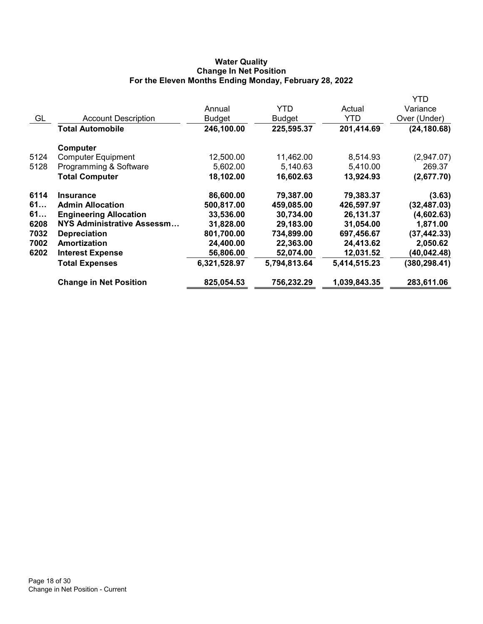# Water Quality Change In Net Position For the Eleven Months Ending Monday, February 28, 2022

|      |                               |              |              |              | YTD           |
|------|-------------------------------|--------------|--------------|--------------|---------------|
|      |                               | Annual       | <b>YTD</b>   | Actual       | Variance      |
| GL   | <b>Account Description</b>    | Budget       | Budget       | YTD          | Over (Under)  |
|      | <b>Total Automobile</b>       | 246,100.00   | 225,595.37   | 201,414.69   | (24, 180.68)  |
|      | Computer                      |              |              |              |               |
| 5124 | <b>Computer Equipment</b>     | 12,500.00    | 11,462.00    | 8,514.93     | (2,947.07)    |
| 5128 | Programming & Software        | 5,602.00     | 5,140.63     | 5,410.00     | 269.37        |
|      | <b>Total Computer</b>         | 18,102.00    | 16,602.63    | 13,924.93    | (2,677.70)    |
| 6114 | <b>Insurance</b>              | 86,600.00    | 79,387.00    | 79,383.37    | (3.63)        |
| 61   | <b>Admin Allocation</b>       | 500,817.00   | 459,085.00   | 426,597.97   | (32, 487.03)  |
| 61   | <b>Engineering Allocation</b> | 33,536.00    | 30,734.00    | 26,131.37    | (4,602.63)    |
| 6208 | NYS Administrative Assessm    | 31,828.00    | 29,183.00    | 31,054.00    | 1,871.00      |
| 7032 | <b>Depreciation</b>           | 801,700.00   | 734,899.00   | 697,456.67   | (37, 442.33)  |
| 7002 | Amortization                  | 24,400.00    | 22,363.00    | 24,413.62    | 2,050.62      |
| 6202 | <b>Interest Expense</b>       | 56,806.00    | 52,074.00    | 12,031.52    | (40,042.48)   |
|      | <b>Total Expenses</b>         | 6,321,528.97 | 5,794,813.64 | 5,414,515.23 | (380, 298.41) |
|      | <b>Change in Net Position</b> | 825,054.53   | 756,232.29   | 1,039,843.35 | 283,611.06    |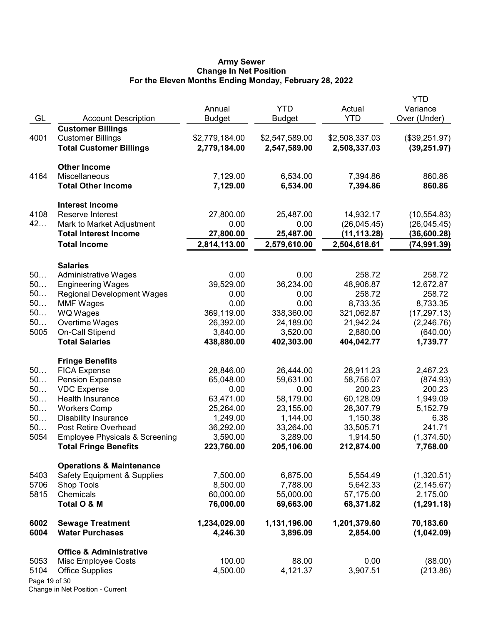### Army Sewer Change In Net Position For the Eleven Months Ending Monday, February 28, 2022

| GL            | <b>Account Description</b>                         | Annual<br><b>Budget</b> | <b>YTD</b><br><b>Budget</b> | Actual<br><b>YTD</b>   | <b>YTD</b><br>Variance<br>Over (Under) |
|---------------|----------------------------------------------------|-------------------------|-----------------------------|------------------------|----------------------------------------|
|               | <b>Customer Billings</b>                           |                         |                             |                        |                                        |
| 4001          | <b>Customer Billings</b>                           | \$2,779,184.00          | \$2,547,589.00              | \$2,508,337.03         | (\$39,251.97)                          |
|               | <b>Total Customer Billings</b>                     | 2,779,184.00            | 2,547,589.00                | 2,508,337.03           | (39, 251.97)                           |
|               | <b>Other Income</b>                                |                         |                             |                        |                                        |
| 4164          | Miscellaneous                                      | 7,129.00                | 6,534.00                    | 7,394.86               | 860.86                                 |
|               | <b>Total Other Income</b>                          | 7,129.00                | 6,534.00                    | 7,394.86               | 860.86                                 |
|               | <b>Interest Income</b>                             |                         |                             |                        |                                        |
| 4108          | Reserve Interest                                   | 27,800.00               | 25,487.00                   | 14,932.17              | (10, 554.83)                           |
| 42            | Mark to Market Adjustment                          | 0.00                    | 0.00                        | (26, 045.45)           | (26,045.45)                            |
|               | <b>Total Interest Income</b>                       | 27,800.00               | 25,487.00                   | (11,113.28)            | (36,600.28)                            |
|               | <b>Total Income</b>                                | 2,814,113.00            | 2,579,610.00                | 2,504,618.61           | (74, 991.39)                           |
|               | <b>Salaries</b>                                    |                         |                             |                        |                                        |
| 50            | <b>Administrative Wages</b>                        | 0.00                    | 0.00                        | 258.72                 | 258.72                                 |
| 50            | <b>Engineering Wages</b>                           | 39,529.00               | 36,234.00                   | 48,906.87              | 12,672.87                              |
| 50            | <b>Regional Development Wages</b>                  | 0.00                    | 0.00                        | 258.72                 | 258.72                                 |
| 50            | <b>MMF Wages</b>                                   | 0.00                    | 0.00                        | 8,733.35               | 8,733.35                               |
| 50            | WQ Wages                                           | 369,119.00              | 338,360.00                  | 321,062.87             | (17, 297.13)                           |
| 50            | Overtime Wages                                     | 26,392.00               | 24,189.00                   | 21,942.24              | (2, 246.76)                            |
| 5005          | On-Call Stipend                                    | 3,840.00                | 3,520.00                    | 2,880.00               | (640.00)                               |
|               | <b>Total Salaries</b>                              | 438,880.00              | 402,303.00                  | 404,042.77             | 1,739.77                               |
|               | <b>Fringe Benefits</b>                             |                         |                             |                        |                                        |
| 50            | <b>FICA Expense</b>                                | 28,846.00               | 26,444.00                   | 28,911.23              | 2,467.23                               |
| 50            | <b>Pension Expense</b>                             | 65,048.00               | 59,631.00                   | 58,756.07              | (874.93)                               |
| 50<br>50      | <b>VDC Expense</b>                                 | 0.00                    | 0.00                        | 200.23                 | 200.23                                 |
| 50            | Health Insurance                                   | 63,471.00<br>25,264.00  | 58,179.00<br>23,155.00      | 60,128.09<br>28,307.79 | 1,949.09<br>5,152.79                   |
| 50            | <b>Workers Comp</b><br><b>Disability Insurance</b> | 1,249.00                | 1,144.00                    | 1,150.38               | 6.38                                   |
| 50            | Post Retire Overhead                               | 36,292.00               | 33,264.00                   | 33,505.71              | 241.71                                 |
| 5054          | <b>Employee Physicals &amp; Screening</b>          | 3,590.00                | 3,289.00                    | 1,914.50               | (1,374.50)                             |
|               | <b>Total Fringe Benefits</b>                       | 223,760.00              | 205,106.00                  | 212,874.00             | 7,768.00                               |
|               | <b>Operations &amp; Maintenance</b>                |                         |                             |                        |                                        |
| 5403          | <b>Safety Equipment &amp; Supplies</b>             | 7,500.00                | 6,875.00                    | 5,554.49               | (1,320.51)                             |
| 5706          | Shop Tools                                         | 8,500.00                | 7,788.00                    | 5,642.33               | (2, 145.67)                            |
| 5815          | Chemicals                                          | 60,000.00               | 55,000.00                   | 57,175.00              | 2,175.00                               |
|               | Total O & M                                        | 76,000.00               | 69,663.00                   | 68,371.82              | (1, 291.18)                            |
| 6002          | <b>Sewage Treatment</b>                            | 1,234,029.00            | 1,131,196.00                | 1,201,379.60           | 70,183.60                              |
| 6004          | <b>Water Purchases</b>                             | 4,246.30                | 3,896.09                    | 2,854.00               | (1,042.09)                             |
|               | <b>Office &amp; Administrative</b>                 |                         |                             |                        |                                        |
| 5053          | Misc Employee Costs                                | 100.00                  | 88.00                       | 0.00                   | (88.00)                                |
| 5104          | <b>Office Supplies</b>                             | 4,500.00                | 4,121.37                    | 3,907.51               | (213.86)                               |
| Page 19 of 30 |                                                    |                         |                             |                        |                                        |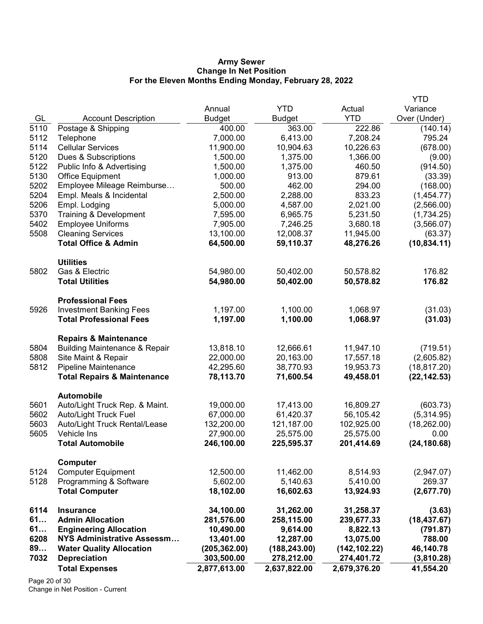### Army Sewer Change In Net Position For the Eleven Months Ending Monday, February 28, 2022

|              |                                                                              |                        |                        |                        | <b>YTD</b>             |
|--------------|------------------------------------------------------------------------------|------------------------|------------------------|------------------------|------------------------|
|              |                                                                              | Annual                 | <b>YTD</b>             | Actual                 | Variance               |
| GL           | <b>Account Description</b>                                                   | <b>Budget</b>          | <b>Budget</b>          | <b>YTD</b>             | Over (Under)           |
| 5110         | Postage & Shipping                                                           | 400.00                 | 363.00                 | 222.86                 | (140.14)               |
| 5112         | Telephone                                                                    | 7,000.00               | 6,413.00               | 7,208.24               | 795.24                 |
| 5114         | <b>Cellular Services</b>                                                     | 11,900.00              | 10,904.63              | 10,226.63              | (678.00)               |
| 5120         | Dues & Subscriptions                                                         | 1,500.00               | 1,375.00               | 1,366.00               | (9.00)                 |
| 5122         | Public Info & Advertising                                                    | 1,500.00               | 1,375.00               | 460.50                 | (914.50)               |
| 5130         | Office Equipment                                                             | 1,000.00               | 913.00                 | 879.61                 | (33.39)                |
| 5202         | Employee Mileage Reimburse                                                   | 500.00                 | 462.00                 | 294.00                 | (168.00)               |
| 5204         | Empl. Meals & Incidental                                                     | 2,500.00               | 2,288.00               | 833.23                 | (1,454.77)             |
| 5206         | Empl. Lodging                                                                | 5,000.00               | 4,587.00               | 2,021.00               | (2,566.00)             |
| 5370         | Training & Development                                                       | 7,595.00               | 6,965.75               | 5,231.50               | (1,734.25)             |
| 5402         | <b>Employee Uniforms</b>                                                     | 7,905.00               | 7,246.25               | 3,680.18               | (3,566.07)             |
| 5508         | <b>Cleaning Services</b>                                                     | 13,100.00              | 12,008.37              | 11,945.00              | (63.37)                |
|              | <b>Total Office &amp; Admin</b>                                              | 64,500.00              | 59,110.37              | 48,276.26              | (10, 834.11)           |
|              | <b>Utilities</b>                                                             |                        |                        |                        |                        |
| 5802         | Gas & Electric                                                               | 54,980.00              | 50,402.00              | 50,578.82              | 176.82                 |
|              | <b>Total Utilities</b>                                                       | 54,980.00              | 50,402.00              | 50,578.82              | 176.82                 |
|              | <b>Professional Fees</b>                                                     |                        |                        |                        |                        |
| 5926         | <b>Investment Banking Fees</b>                                               | 1,197.00               | 1,100.00               | 1,068.97               | (31.03)                |
|              | <b>Total Professional Fees</b>                                               | 1,197.00               | 1,100.00               | 1,068.97               | (31.03)                |
|              |                                                                              |                        |                        |                        |                        |
| 5804         | <b>Repairs &amp; Maintenance</b><br><b>Building Maintenance &amp; Repair</b> | 13,818.10              | 12,666.61              | 11,947.10              | (719.51)               |
| 5808         | Site Maint & Repair                                                          | 22,000.00              | 20,163.00              | 17,557.18              | (2,605.82)             |
| 5812         | Pipeline Maintenance                                                         | 42,295.60              | 38,770.93              | 19,953.73              | (18, 817.20)           |
|              | <b>Total Repairs &amp; Maintenance</b>                                       | 78,113.70              | 71,600.54              | 49,458.01              | (22, 142.53)           |
|              |                                                                              |                        |                        |                        |                        |
|              | <b>Automobile</b>                                                            |                        |                        |                        |                        |
| 5601<br>5602 | Auto/Light Truck Rep. & Maint.<br>Auto/Light Truck Fuel                      | 19,000.00<br>67,000.00 | 17,413.00<br>61,420.37 | 16,809.27<br>56,105.42 | (603.73)<br>(5,314.95) |
| 5603         | Auto/Light Truck Rental/Lease                                                | 132,200.00             | 121,187.00             | 102,925.00             | (18, 262.00)           |
| 5605         | Vehicle Ins                                                                  | 27,900.00              | 25,575.00              | 25,575.00              | 0.00                   |
|              | <b>Total Automobile</b>                                                      | 246,100.00             | 225,595.37             | 201,414.69             | (24, 180.68)           |
|              |                                                                              |                        |                        |                        |                        |
|              | Computer                                                                     |                        |                        |                        |                        |
| 5124         | <b>Computer Equipment</b>                                                    | 12,500.00              | 11,462.00              | 8,514.93<br>5,410.00   | (2,947.07)<br>269.37   |
| 5128         | Programming & Software                                                       | 5,602.00               | 5,140.63               |                        |                        |
|              | <b>Total Computer</b>                                                        | 18,102.00              | 16,602.63              | 13,924.93              | (2,677.70)             |
| 6114         | <b>Insurance</b>                                                             | 34,100.00              | 31,262.00              | 31,258.37              | (3.63)                 |
| 61           | <b>Admin Allocation</b>                                                      | 281,576.00             | 258,115.00             | 239,677.33             | (18, 437.67)           |
| 61           | <b>Engineering Allocation</b>                                                | 10,490.00              | 9,614.00               | 8,822.13               | (791.87)               |
| 6208         | <b>NYS Administrative Assessm</b>                                            | 13,401.00              | 12,287.00              | 13,075.00              | 788.00                 |
| 89           | <b>Water Quality Allocation</b>                                              | (205, 362.00)          | (188, 243.00)          | (142, 102.22)          | 46,140.78              |
| 7032         | <b>Depreciation</b>                                                          | 303,500.00             | 278,212.00             | 274,401.72             | (3,810.28)             |
|              | <b>Total Expenses</b>                                                        | 2,877,613.00           | 2,637,822.00           | 2,679,376.20           | 41,554.20              |

Page 20 of 30 Change in Net Position - Current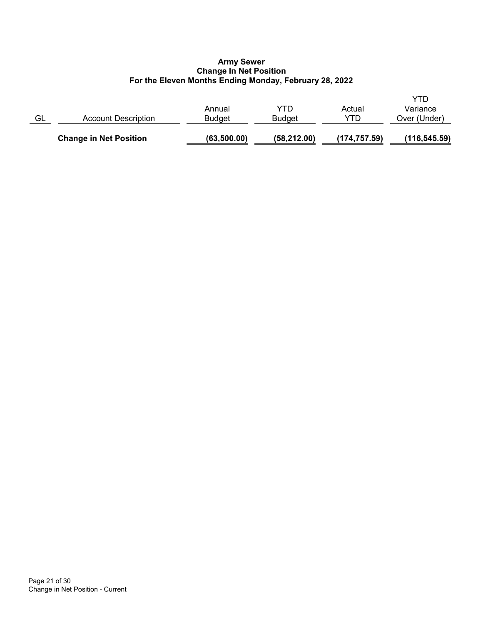# Army Sewer Change In Net Position For the Eleven Months Ending Monday, February 28, 2022

|    | <b>Change in Net Position</b> | (63,500.00)      | (58, 212.00)         | (174, 757.59)  | (116, 545.59)                   |
|----|-------------------------------|------------------|----------------------|----------------|---------------------------------|
| GL | <b>Account Description</b>    | Annual<br>Budget | YTD<br><b>Budget</b> | Actual<br>YTD. | YTD<br>Variance<br>Over (Under) |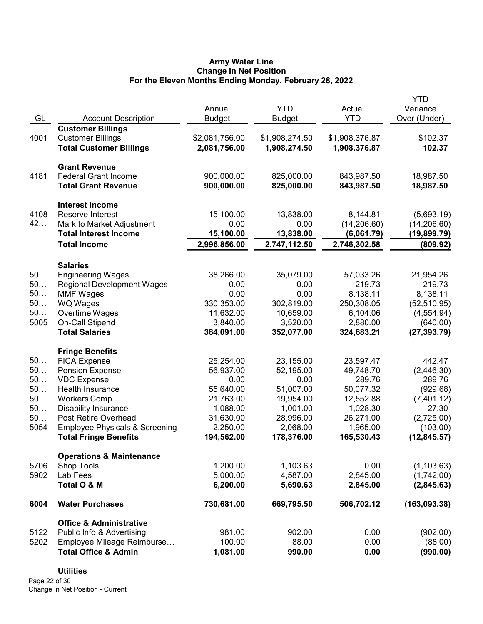# Army Water Line Change In Net Position For the Eleven Months Ending Monday, February 28, 2022

|      |                                                     |                |                |                | YTD           |
|------|-----------------------------------------------------|----------------|----------------|----------------|---------------|
|      |                                                     | Annual         | <b>YTD</b>     | Actual         | Variance      |
| GL   | <b>Account Description</b>                          | <b>Budget</b>  | <b>Budget</b>  | <b>YTD</b>     | Over (Under)  |
|      | <b>Customer Billings</b>                            |                |                |                |               |
| 4001 | <b>Customer Billings</b>                            | \$2,081,756.00 | \$1,908,274.50 | \$1,908,376.87 | \$102.37      |
|      | <b>Total Customer Billings</b>                      | 2,081,756.00   | 1,908,274.50   | 1,908,376.87   | 102.37        |
|      |                                                     |                |                |                |               |
| 4181 | <b>Grant Revenue</b><br><b>Federal Grant Income</b> | 900,000.00     | 825,000.00     | 843,987.50     | 18,987.50     |
|      | <b>Total Grant Revenue</b>                          | 900,000.00     | 825,000.00     | 843,987.50     | 18,987.50     |
|      |                                                     |                |                |                |               |
|      | <b>Interest Income</b>                              |                |                |                |               |
| 4108 | Reserve Interest                                    | 15,100.00      | 13,838.00      | 8,144.81       | (5,693.19)    |
| 42   | Mark to Market Adjustment                           | 0.00           | 0.00           | (14, 206.60)   | (14, 206.60)  |
|      | <b>Total Interest Income</b>                        | 15,100.00      | 13,838.00      | (6,061.79)     | (19,899.79)   |
|      | <b>Total Income</b>                                 | 2,996,856.00   | 2,747,112.50   | 2,746,302.58   | (809.92)      |
|      | <b>Salaries</b>                                     |                |                |                |               |
| 50   | <b>Engineering Wages</b>                            | 38,266.00      | 35,079.00      | 57,033.26      | 21,954.26     |
| 50   | <b>Regional Development Wages</b>                   | 0.00           | 0.00           | 219.73         | 219.73        |
| 50   | <b>MMF Wages</b>                                    | 0.00           | 0.00           | 8,138.11       | 8,138.11      |
| 50   | WQ Wages                                            | 330,353.00     | 302,819.00     | 250,308.05     | (52, 510.95)  |
| 50   | Overtime Wages                                      | 11,632.00      | 10,659.00      | 6,104.06       | (4, 554.94)   |
| 5005 | On-Call Stipend                                     | 3,840.00       | 3,520.00       | 2,880.00       | (640.00)      |
|      | <b>Total Salaries</b>                               | 384,091.00     | 352,077.00     | 324,683.21     | (27, 393.79)  |
|      | <b>Fringe Benefits</b>                              |                |                |                |               |
| 50   | <b>FICA Expense</b>                                 | 25,254.00      | 23,155.00      | 23,597.47      | 442.47        |
| 50   | <b>Pension Expense</b>                              | 56,937.00      | 52,195.00      | 49,748.70      | (2,446.30)    |
| 50   | <b>VDC Expense</b>                                  | 0.00           | 0.00           | 289.76         | 289.76        |
| 50   | <b>Health Insurance</b>                             | 55,640.00      | 51,007.00      | 50,077.32      | (929.68)      |
| 50   | <b>Workers Comp</b>                                 | 21,763.00      | 19,954.00      | 12,552.88      | (7,401.12)    |
| 50   | <b>Disability Insurance</b>                         | 1,088.00       | 1,001.00       | 1,028.30       | 27.30         |
| 50   | Post Retire Overhead                                | 31,630.00      | 28,996.00      | 26,271.00      | (2,725.00)    |
| 5054 | <b>Employee Physicals &amp; Screening</b>           | 2,250.00       | 2,068.00       | 1,965.00       | (103.00)      |
|      | <b>Total Fringe Benefits</b>                        | 194,562.00     | 178,376.00     | 165,530.43     | (12, 845.57)  |
|      |                                                     |                |                |                |               |
|      | <b>Operations &amp; Maintenance</b>                 |                |                |                |               |
| 5706 | <b>Shop Tools</b>                                   | 1,200.00       | 1,103.63       | 0.00           | (1, 103.63)   |
| 5902 | Lab Fees                                            | 5,000.00       | 4,587.00       | 2,845.00       | (1,742.00)    |
|      | Total O & M                                         | 6,200.00       | 5,690.63       | 2,845.00       | (2,845.63)    |
| 6004 | <b>Water Purchases</b>                              | 730,681.00     | 669,795.50     | 506,702.12     | (163, 093.38) |
|      | <b>Office &amp; Administrative</b>                  |                |                |                |               |
| 5122 | Public Info & Advertising                           | 981.00         | 902.00         | 0.00           | (902.00)      |
| 5202 | Employee Mileage Reimburse                          | 100.00         | 88.00          | 0.00           | (88.00)       |
|      | <b>Total Office &amp; Admin</b>                     | 1,081.00       | 990.00         | 0.00           | (990.00)      |

# **Utilities**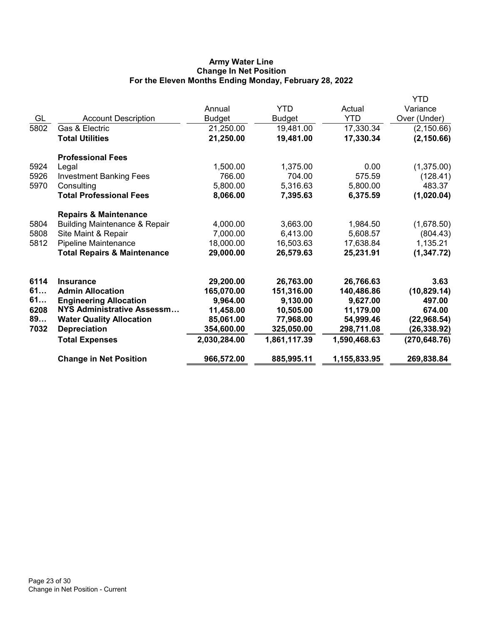# Army Water Line Change In Net Position For the Eleven Months Ending Monday, February 28, 2022

|      |                                          |               |               |              | YTD           |
|------|------------------------------------------|---------------|---------------|--------------|---------------|
|      |                                          | Annual        | <b>YTD</b>    | Actual       | Variance      |
| GL   | <b>Account Description</b>               | <b>Budget</b> | <b>Budget</b> | <b>YTD</b>   | Over (Under)  |
| 5802 | Gas & Electric                           | 21,250.00     | 19,481.00     | 17,330.34    | (2, 150.66)   |
|      | <b>Total Utilities</b>                   | 21,250.00     | 19,481.00     | 17,330.34    | (2, 150.66)   |
|      | <b>Professional Fees</b>                 |               |               |              |               |
| 5924 | Legal                                    | 1,500.00      | 1,375.00      | 0.00         | (1,375.00)    |
| 5926 | <b>Investment Banking Fees</b>           | 766.00        | 704.00        | 575.59       | (128.41)      |
| 5970 | Consulting                               | 5,800.00      | 5,316.63      | 5,800.00     | 483.37        |
|      | <b>Total Professional Fees</b>           | 8,066.00      | 7,395.63      | 6,375.59     | (1,020.04)    |
|      | <b>Repairs &amp; Maintenance</b>         |               |               |              |               |
| 5804 | <b>Building Maintenance &amp; Repair</b> | 4,000.00      | 3,663.00      | 1,984.50     | (1,678.50)    |
| 5808 | Site Maint & Repair                      | 7,000.00      | 6,413.00      | 5,608.57     | (804.43)      |
| 5812 | Pipeline Maintenance                     | 18,000.00     | 16,503.63     | 17,638.84    | 1,135.21      |
|      | <b>Total Repairs &amp; Maintenance</b>   | 29,000.00     | 26,579.63     | 25,231.91    | (1, 347.72)   |
| 6114 | <b>Insurance</b>                         | 29,200.00     | 26,763.00     | 26,766.63    | 3.63          |
| 61   | <b>Admin Allocation</b>                  | 165,070.00    | 151,316.00    | 140,486.86   | (10, 829.14)  |
| 61   | <b>Engineering Allocation</b>            | 9,964.00      | 9,130.00      | 9,627.00     | 497.00        |
| 6208 | NYS Administrative Assessm               | 11,458.00     | 10,505.00     | 11,179.00    | 674.00        |
| 89   | <b>Water Quality Allocation</b>          | 85,061.00     | 77,968.00     | 54,999.46    | (22, 968.54)  |
| 7032 | <b>Depreciation</b>                      | 354,600.00    | 325,050.00    | 298,711.08   | (26, 338.92)  |
|      | <b>Total Expenses</b>                    | 2,030,284.00  | 1,861,117.39  | 1,590,468.63 | (270, 648.76) |
|      | <b>Change in Net Position</b>            | 966,572.00    | 885,995.11    | 1,155,833.95 | 269,838.84    |
|      |                                          |               |               |              |               |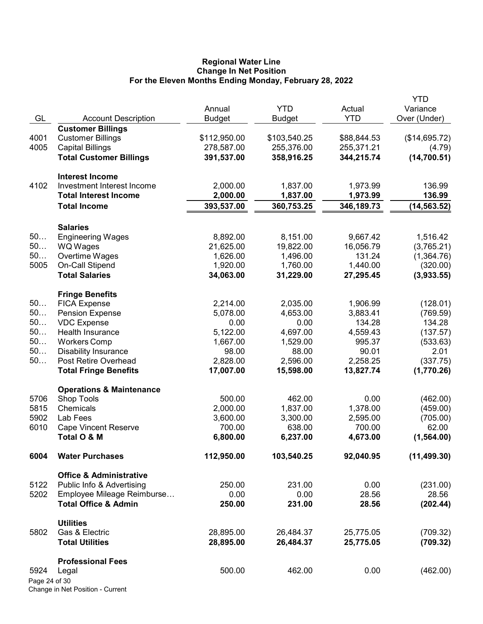### Regional Water Line Change In Net Position For the Eleven Months Ending Monday, February 28, 2022

| <b>YTD</b><br>Actual<br>Variance<br>Annual<br>GL<br><b>YTD</b><br>Over (Under)<br><b>Account Description</b><br><b>Budget</b><br><b>Budget</b><br><b>Customer Billings</b><br><b>Customer Billings</b><br>\$112,950.00<br>\$103,540.25<br>\$88,844.53<br>(\$14,695.72)<br>4001<br>4005<br><b>Capital Billings</b><br>278,587.00<br>255,376.00<br>255,371.21<br>(4.79)<br><b>Total Customer Billings</b><br>(14, 700.51)<br>391,537.00<br>358,916.25<br>344,215.74<br><b>Interest Income</b><br>4102<br>Investment Interest Income<br>2,000.00<br>1,837.00<br>136.99<br>1,973.99<br>136.99<br><b>Total Interest Income</b><br>2,000.00<br>1,837.00<br>1,973.99<br>393,537.00<br>360,753.25<br>346,189.73<br>(14, 563.52)<br><b>Total Income</b><br><b>Salaries</b><br>50<br>8,892.00<br>8,151.00<br>9,667.42<br>1,516.42<br><b>Engineering Wages</b><br>50<br>21,625.00<br>19,822.00<br>16,056.79<br>WQ Wages<br>(3,765.21)<br>50<br>131.24<br>Overtime Wages<br>1,626.00<br>1,496.00<br>(1,364.76)<br>5005<br>On-Call Stipend<br>1,920.00<br>1,760.00<br>1,440.00<br>(320.00)<br><b>Total Salaries</b><br>34,063.00<br>31,229.00<br>(3,933.55)<br>27,295.45<br><b>Fringe Benefits</b><br>50<br><b>FICA Expense</b><br>2,214.00<br>2,035.00<br>1,906.99<br>(128.01)<br>50<br><b>Pension Expense</b><br>5,078.00<br>4,653.00<br>3,883.41<br>(769.59)<br>50<br><b>VDC Expense</b><br>0.00<br>0.00<br>134.28<br>134.28<br>50<br>Health Insurance<br>5,122.00<br>4,697.00<br>4,559.43<br>(137.57)<br>50<br><b>Workers Comp</b><br>1,529.00<br>995.37<br>1,667.00<br>(533.63)<br>50<br><b>Disability Insurance</b><br>98.00<br>88.00<br>90.01<br>2.01<br>50<br>Post Retire Overhead<br>2,828.00<br>2,596.00<br>2,258.25<br>(337.75)<br><b>Total Fringe Benefits</b><br>17,007.00<br>15,598.00<br>13,827.74<br>(1,770.26)<br><b>Operations &amp; Maintenance</b><br>462.00<br>5706<br>Shop Tools<br>500.00<br>0.00<br>(462.00)<br>5815<br>Chemicals<br>2,000.00<br>1,837.00<br>1,378.00<br>(459.00)<br>5902<br>Lab Fees<br>3,600.00<br>3,300.00<br>2,595.00<br>(705.00)<br>6010<br><b>Cape Vincent Reserve</b><br>700.00<br>638.00<br>700.00<br>62.00<br>Total O & M<br>6,800.00<br>6,237.00<br>4,673.00<br>(1,564.00)<br>6004<br><b>Water Purchases</b><br>112,950.00<br>103,540.25<br>92,040.95<br>(11, 499.30)<br><b>Office &amp; Administrative</b><br>5122<br>Public Info & Advertising<br>250.00<br>231.00<br>0.00<br>(231.00)<br>Employee Mileage Reimburse<br>5202<br>0.00<br>0.00<br>28.56<br>28.56<br><b>Total Office &amp; Admin</b><br>(202.44)<br>250.00<br>231.00<br>28.56<br><b>Utilities</b><br>Gas & Electric<br>28,895.00<br>26,484.37<br>25,775.05<br>(709.32)<br>5802<br><b>Total Utilities</b><br>28,895.00<br>26,484.37<br>25,775.05<br>(709.32)<br><b>Professional Fees</b><br>500.00<br>462.00<br>0.00<br>(462.00)<br>5924<br>Legal<br>Page 24 of 30 |  |  | <b>YTD</b> |
|-----------------------------------------------------------------------------------------------------------------------------------------------------------------------------------------------------------------------------------------------------------------------------------------------------------------------------------------------------------------------------------------------------------------------------------------------------------------------------------------------------------------------------------------------------------------------------------------------------------------------------------------------------------------------------------------------------------------------------------------------------------------------------------------------------------------------------------------------------------------------------------------------------------------------------------------------------------------------------------------------------------------------------------------------------------------------------------------------------------------------------------------------------------------------------------------------------------------------------------------------------------------------------------------------------------------------------------------------------------------------------------------------------------------------------------------------------------------------------------------------------------------------------------------------------------------------------------------------------------------------------------------------------------------------------------------------------------------------------------------------------------------------------------------------------------------------------------------------------------------------------------------------------------------------------------------------------------------------------------------------------------------------------------------------------------------------------------------------------------------------------------------------------------------------------------------------------------------------------------------------------------------------------------------------------------------------------------------------------------------------------------------------------------------------------------------------------------------------------------------------------------------------------------------------------------------------------------------------------------------------------------------------------------------------------------------------------------------------------------------------------------------------------------------------------------------------------------------------------------------------|--|--|------------|
|                                                                                                                                                                                                                                                                                                                                                                                                                                                                                                                                                                                                                                                                                                                                                                                                                                                                                                                                                                                                                                                                                                                                                                                                                                                                                                                                                                                                                                                                                                                                                                                                                                                                                                                                                                                                                                                                                                                                                                                                                                                                                                                                                                                                                                                                                                                                                                                                                                                                                                                                                                                                                                                                                                                                                                                                                                                                       |  |  |            |
|                                                                                                                                                                                                                                                                                                                                                                                                                                                                                                                                                                                                                                                                                                                                                                                                                                                                                                                                                                                                                                                                                                                                                                                                                                                                                                                                                                                                                                                                                                                                                                                                                                                                                                                                                                                                                                                                                                                                                                                                                                                                                                                                                                                                                                                                                                                                                                                                                                                                                                                                                                                                                                                                                                                                                                                                                                                                       |  |  |            |
|                                                                                                                                                                                                                                                                                                                                                                                                                                                                                                                                                                                                                                                                                                                                                                                                                                                                                                                                                                                                                                                                                                                                                                                                                                                                                                                                                                                                                                                                                                                                                                                                                                                                                                                                                                                                                                                                                                                                                                                                                                                                                                                                                                                                                                                                                                                                                                                                                                                                                                                                                                                                                                                                                                                                                                                                                                                                       |  |  |            |
|                                                                                                                                                                                                                                                                                                                                                                                                                                                                                                                                                                                                                                                                                                                                                                                                                                                                                                                                                                                                                                                                                                                                                                                                                                                                                                                                                                                                                                                                                                                                                                                                                                                                                                                                                                                                                                                                                                                                                                                                                                                                                                                                                                                                                                                                                                                                                                                                                                                                                                                                                                                                                                                                                                                                                                                                                                                                       |  |  |            |
|                                                                                                                                                                                                                                                                                                                                                                                                                                                                                                                                                                                                                                                                                                                                                                                                                                                                                                                                                                                                                                                                                                                                                                                                                                                                                                                                                                                                                                                                                                                                                                                                                                                                                                                                                                                                                                                                                                                                                                                                                                                                                                                                                                                                                                                                                                                                                                                                                                                                                                                                                                                                                                                                                                                                                                                                                                                                       |  |  |            |
|                                                                                                                                                                                                                                                                                                                                                                                                                                                                                                                                                                                                                                                                                                                                                                                                                                                                                                                                                                                                                                                                                                                                                                                                                                                                                                                                                                                                                                                                                                                                                                                                                                                                                                                                                                                                                                                                                                                                                                                                                                                                                                                                                                                                                                                                                                                                                                                                                                                                                                                                                                                                                                                                                                                                                                                                                                                                       |  |  |            |
|                                                                                                                                                                                                                                                                                                                                                                                                                                                                                                                                                                                                                                                                                                                                                                                                                                                                                                                                                                                                                                                                                                                                                                                                                                                                                                                                                                                                                                                                                                                                                                                                                                                                                                                                                                                                                                                                                                                                                                                                                                                                                                                                                                                                                                                                                                                                                                                                                                                                                                                                                                                                                                                                                                                                                                                                                                                                       |  |  |            |
|                                                                                                                                                                                                                                                                                                                                                                                                                                                                                                                                                                                                                                                                                                                                                                                                                                                                                                                                                                                                                                                                                                                                                                                                                                                                                                                                                                                                                                                                                                                                                                                                                                                                                                                                                                                                                                                                                                                                                                                                                                                                                                                                                                                                                                                                                                                                                                                                                                                                                                                                                                                                                                                                                                                                                                                                                                                                       |  |  |            |
|                                                                                                                                                                                                                                                                                                                                                                                                                                                                                                                                                                                                                                                                                                                                                                                                                                                                                                                                                                                                                                                                                                                                                                                                                                                                                                                                                                                                                                                                                                                                                                                                                                                                                                                                                                                                                                                                                                                                                                                                                                                                                                                                                                                                                                                                                                                                                                                                                                                                                                                                                                                                                                                                                                                                                                                                                                                                       |  |  |            |
|                                                                                                                                                                                                                                                                                                                                                                                                                                                                                                                                                                                                                                                                                                                                                                                                                                                                                                                                                                                                                                                                                                                                                                                                                                                                                                                                                                                                                                                                                                                                                                                                                                                                                                                                                                                                                                                                                                                                                                                                                                                                                                                                                                                                                                                                                                                                                                                                                                                                                                                                                                                                                                                                                                                                                                                                                                                                       |  |  |            |
|                                                                                                                                                                                                                                                                                                                                                                                                                                                                                                                                                                                                                                                                                                                                                                                                                                                                                                                                                                                                                                                                                                                                                                                                                                                                                                                                                                                                                                                                                                                                                                                                                                                                                                                                                                                                                                                                                                                                                                                                                                                                                                                                                                                                                                                                                                                                                                                                                                                                                                                                                                                                                                                                                                                                                                                                                                                                       |  |  |            |
|                                                                                                                                                                                                                                                                                                                                                                                                                                                                                                                                                                                                                                                                                                                                                                                                                                                                                                                                                                                                                                                                                                                                                                                                                                                                                                                                                                                                                                                                                                                                                                                                                                                                                                                                                                                                                                                                                                                                                                                                                                                                                                                                                                                                                                                                                                                                                                                                                                                                                                                                                                                                                                                                                                                                                                                                                                                                       |  |  |            |
|                                                                                                                                                                                                                                                                                                                                                                                                                                                                                                                                                                                                                                                                                                                                                                                                                                                                                                                                                                                                                                                                                                                                                                                                                                                                                                                                                                                                                                                                                                                                                                                                                                                                                                                                                                                                                                                                                                                                                                                                                                                                                                                                                                                                                                                                                                                                                                                                                                                                                                                                                                                                                                                                                                                                                                                                                                                                       |  |  |            |
|                                                                                                                                                                                                                                                                                                                                                                                                                                                                                                                                                                                                                                                                                                                                                                                                                                                                                                                                                                                                                                                                                                                                                                                                                                                                                                                                                                                                                                                                                                                                                                                                                                                                                                                                                                                                                                                                                                                                                                                                                                                                                                                                                                                                                                                                                                                                                                                                                                                                                                                                                                                                                                                                                                                                                                                                                                                                       |  |  |            |
|                                                                                                                                                                                                                                                                                                                                                                                                                                                                                                                                                                                                                                                                                                                                                                                                                                                                                                                                                                                                                                                                                                                                                                                                                                                                                                                                                                                                                                                                                                                                                                                                                                                                                                                                                                                                                                                                                                                                                                                                                                                                                                                                                                                                                                                                                                                                                                                                                                                                                                                                                                                                                                                                                                                                                                                                                                                                       |  |  |            |
|                                                                                                                                                                                                                                                                                                                                                                                                                                                                                                                                                                                                                                                                                                                                                                                                                                                                                                                                                                                                                                                                                                                                                                                                                                                                                                                                                                                                                                                                                                                                                                                                                                                                                                                                                                                                                                                                                                                                                                                                                                                                                                                                                                                                                                                                                                                                                                                                                                                                                                                                                                                                                                                                                                                                                                                                                                                                       |  |  |            |
|                                                                                                                                                                                                                                                                                                                                                                                                                                                                                                                                                                                                                                                                                                                                                                                                                                                                                                                                                                                                                                                                                                                                                                                                                                                                                                                                                                                                                                                                                                                                                                                                                                                                                                                                                                                                                                                                                                                                                                                                                                                                                                                                                                                                                                                                                                                                                                                                                                                                                                                                                                                                                                                                                                                                                                                                                                                                       |  |  |            |
|                                                                                                                                                                                                                                                                                                                                                                                                                                                                                                                                                                                                                                                                                                                                                                                                                                                                                                                                                                                                                                                                                                                                                                                                                                                                                                                                                                                                                                                                                                                                                                                                                                                                                                                                                                                                                                                                                                                                                                                                                                                                                                                                                                                                                                                                                                                                                                                                                                                                                                                                                                                                                                                                                                                                                                                                                                                                       |  |  |            |
|                                                                                                                                                                                                                                                                                                                                                                                                                                                                                                                                                                                                                                                                                                                                                                                                                                                                                                                                                                                                                                                                                                                                                                                                                                                                                                                                                                                                                                                                                                                                                                                                                                                                                                                                                                                                                                                                                                                                                                                                                                                                                                                                                                                                                                                                                                                                                                                                                                                                                                                                                                                                                                                                                                                                                                                                                                                                       |  |  |            |
|                                                                                                                                                                                                                                                                                                                                                                                                                                                                                                                                                                                                                                                                                                                                                                                                                                                                                                                                                                                                                                                                                                                                                                                                                                                                                                                                                                                                                                                                                                                                                                                                                                                                                                                                                                                                                                                                                                                                                                                                                                                                                                                                                                                                                                                                                                                                                                                                                                                                                                                                                                                                                                                                                                                                                                                                                                                                       |  |  |            |
|                                                                                                                                                                                                                                                                                                                                                                                                                                                                                                                                                                                                                                                                                                                                                                                                                                                                                                                                                                                                                                                                                                                                                                                                                                                                                                                                                                                                                                                                                                                                                                                                                                                                                                                                                                                                                                                                                                                                                                                                                                                                                                                                                                                                                                                                                                                                                                                                                                                                                                                                                                                                                                                                                                                                                                                                                                                                       |  |  |            |
|                                                                                                                                                                                                                                                                                                                                                                                                                                                                                                                                                                                                                                                                                                                                                                                                                                                                                                                                                                                                                                                                                                                                                                                                                                                                                                                                                                                                                                                                                                                                                                                                                                                                                                                                                                                                                                                                                                                                                                                                                                                                                                                                                                                                                                                                                                                                                                                                                                                                                                                                                                                                                                                                                                                                                                                                                                                                       |  |  |            |
|                                                                                                                                                                                                                                                                                                                                                                                                                                                                                                                                                                                                                                                                                                                                                                                                                                                                                                                                                                                                                                                                                                                                                                                                                                                                                                                                                                                                                                                                                                                                                                                                                                                                                                                                                                                                                                                                                                                                                                                                                                                                                                                                                                                                                                                                                                                                                                                                                                                                                                                                                                                                                                                                                                                                                                                                                                                                       |  |  |            |
|                                                                                                                                                                                                                                                                                                                                                                                                                                                                                                                                                                                                                                                                                                                                                                                                                                                                                                                                                                                                                                                                                                                                                                                                                                                                                                                                                                                                                                                                                                                                                                                                                                                                                                                                                                                                                                                                                                                                                                                                                                                                                                                                                                                                                                                                                                                                                                                                                                                                                                                                                                                                                                                                                                                                                                                                                                                                       |  |  |            |
|                                                                                                                                                                                                                                                                                                                                                                                                                                                                                                                                                                                                                                                                                                                                                                                                                                                                                                                                                                                                                                                                                                                                                                                                                                                                                                                                                                                                                                                                                                                                                                                                                                                                                                                                                                                                                                                                                                                                                                                                                                                                                                                                                                                                                                                                                                                                                                                                                                                                                                                                                                                                                                                                                                                                                                                                                                                                       |  |  |            |
|                                                                                                                                                                                                                                                                                                                                                                                                                                                                                                                                                                                                                                                                                                                                                                                                                                                                                                                                                                                                                                                                                                                                                                                                                                                                                                                                                                                                                                                                                                                                                                                                                                                                                                                                                                                                                                                                                                                                                                                                                                                                                                                                                                                                                                                                                                                                                                                                                                                                                                                                                                                                                                                                                                                                                                                                                                                                       |  |  |            |
|                                                                                                                                                                                                                                                                                                                                                                                                                                                                                                                                                                                                                                                                                                                                                                                                                                                                                                                                                                                                                                                                                                                                                                                                                                                                                                                                                                                                                                                                                                                                                                                                                                                                                                                                                                                                                                                                                                                                                                                                                                                                                                                                                                                                                                                                                                                                                                                                                                                                                                                                                                                                                                                                                                                                                                                                                                                                       |  |  |            |
|                                                                                                                                                                                                                                                                                                                                                                                                                                                                                                                                                                                                                                                                                                                                                                                                                                                                                                                                                                                                                                                                                                                                                                                                                                                                                                                                                                                                                                                                                                                                                                                                                                                                                                                                                                                                                                                                                                                                                                                                                                                                                                                                                                                                                                                                                                                                                                                                                                                                                                                                                                                                                                                                                                                                                                                                                                                                       |  |  |            |
|                                                                                                                                                                                                                                                                                                                                                                                                                                                                                                                                                                                                                                                                                                                                                                                                                                                                                                                                                                                                                                                                                                                                                                                                                                                                                                                                                                                                                                                                                                                                                                                                                                                                                                                                                                                                                                                                                                                                                                                                                                                                                                                                                                                                                                                                                                                                                                                                                                                                                                                                                                                                                                                                                                                                                                                                                                                                       |  |  |            |
|                                                                                                                                                                                                                                                                                                                                                                                                                                                                                                                                                                                                                                                                                                                                                                                                                                                                                                                                                                                                                                                                                                                                                                                                                                                                                                                                                                                                                                                                                                                                                                                                                                                                                                                                                                                                                                                                                                                                                                                                                                                                                                                                                                                                                                                                                                                                                                                                                                                                                                                                                                                                                                                                                                                                                                                                                                                                       |  |  |            |
|                                                                                                                                                                                                                                                                                                                                                                                                                                                                                                                                                                                                                                                                                                                                                                                                                                                                                                                                                                                                                                                                                                                                                                                                                                                                                                                                                                                                                                                                                                                                                                                                                                                                                                                                                                                                                                                                                                                                                                                                                                                                                                                                                                                                                                                                                                                                                                                                                                                                                                                                                                                                                                                                                                                                                                                                                                                                       |  |  |            |
|                                                                                                                                                                                                                                                                                                                                                                                                                                                                                                                                                                                                                                                                                                                                                                                                                                                                                                                                                                                                                                                                                                                                                                                                                                                                                                                                                                                                                                                                                                                                                                                                                                                                                                                                                                                                                                                                                                                                                                                                                                                                                                                                                                                                                                                                                                                                                                                                                                                                                                                                                                                                                                                                                                                                                                                                                                                                       |  |  |            |
|                                                                                                                                                                                                                                                                                                                                                                                                                                                                                                                                                                                                                                                                                                                                                                                                                                                                                                                                                                                                                                                                                                                                                                                                                                                                                                                                                                                                                                                                                                                                                                                                                                                                                                                                                                                                                                                                                                                                                                                                                                                                                                                                                                                                                                                                                                                                                                                                                                                                                                                                                                                                                                                                                                                                                                                                                                                                       |  |  |            |
|                                                                                                                                                                                                                                                                                                                                                                                                                                                                                                                                                                                                                                                                                                                                                                                                                                                                                                                                                                                                                                                                                                                                                                                                                                                                                                                                                                                                                                                                                                                                                                                                                                                                                                                                                                                                                                                                                                                                                                                                                                                                                                                                                                                                                                                                                                                                                                                                                                                                                                                                                                                                                                                                                                                                                                                                                                                                       |  |  |            |
|                                                                                                                                                                                                                                                                                                                                                                                                                                                                                                                                                                                                                                                                                                                                                                                                                                                                                                                                                                                                                                                                                                                                                                                                                                                                                                                                                                                                                                                                                                                                                                                                                                                                                                                                                                                                                                                                                                                                                                                                                                                                                                                                                                                                                                                                                                                                                                                                                                                                                                                                                                                                                                                                                                                                                                                                                                                                       |  |  |            |
|                                                                                                                                                                                                                                                                                                                                                                                                                                                                                                                                                                                                                                                                                                                                                                                                                                                                                                                                                                                                                                                                                                                                                                                                                                                                                                                                                                                                                                                                                                                                                                                                                                                                                                                                                                                                                                                                                                                                                                                                                                                                                                                                                                                                                                                                                                                                                                                                                                                                                                                                                                                                                                                                                                                                                                                                                                                                       |  |  |            |
|                                                                                                                                                                                                                                                                                                                                                                                                                                                                                                                                                                                                                                                                                                                                                                                                                                                                                                                                                                                                                                                                                                                                                                                                                                                                                                                                                                                                                                                                                                                                                                                                                                                                                                                                                                                                                                                                                                                                                                                                                                                                                                                                                                                                                                                                                                                                                                                                                                                                                                                                                                                                                                                                                                                                                                                                                                                                       |  |  |            |
|                                                                                                                                                                                                                                                                                                                                                                                                                                                                                                                                                                                                                                                                                                                                                                                                                                                                                                                                                                                                                                                                                                                                                                                                                                                                                                                                                                                                                                                                                                                                                                                                                                                                                                                                                                                                                                                                                                                                                                                                                                                                                                                                                                                                                                                                                                                                                                                                                                                                                                                                                                                                                                                                                                                                                                                                                                                                       |  |  |            |
|                                                                                                                                                                                                                                                                                                                                                                                                                                                                                                                                                                                                                                                                                                                                                                                                                                                                                                                                                                                                                                                                                                                                                                                                                                                                                                                                                                                                                                                                                                                                                                                                                                                                                                                                                                                                                                                                                                                                                                                                                                                                                                                                                                                                                                                                                                                                                                                                                                                                                                                                                                                                                                                                                                                                                                                                                                                                       |  |  |            |
|                                                                                                                                                                                                                                                                                                                                                                                                                                                                                                                                                                                                                                                                                                                                                                                                                                                                                                                                                                                                                                                                                                                                                                                                                                                                                                                                                                                                                                                                                                                                                                                                                                                                                                                                                                                                                                                                                                                                                                                                                                                                                                                                                                                                                                                                                                                                                                                                                                                                                                                                                                                                                                                                                                                                                                                                                                                                       |  |  |            |
|                                                                                                                                                                                                                                                                                                                                                                                                                                                                                                                                                                                                                                                                                                                                                                                                                                                                                                                                                                                                                                                                                                                                                                                                                                                                                                                                                                                                                                                                                                                                                                                                                                                                                                                                                                                                                                                                                                                                                                                                                                                                                                                                                                                                                                                                                                                                                                                                                                                                                                                                                                                                                                                                                                                                                                                                                                                                       |  |  |            |
|                                                                                                                                                                                                                                                                                                                                                                                                                                                                                                                                                                                                                                                                                                                                                                                                                                                                                                                                                                                                                                                                                                                                                                                                                                                                                                                                                                                                                                                                                                                                                                                                                                                                                                                                                                                                                                                                                                                                                                                                                                                                                                                                                                                                                                                                                                                                                                                                                                                                                                                                                                                                                                                                                                                                                                                                                                                                       |  |  |            |
|                                                                                                                                                                                                                                                                                                                                                                                                                                                                                                                                                                                                                                                                                                                                                                                                                                                                                                                                                                                                                                                                                                                                                                                                                                                                                                                                                                                                                                                                                                                                                                                                                                                                                                                                                                                                                                                                                                                                                                                                                                                                                                                                                                                                                                                                                                                                                                                                                                                                                                                                                                                                                                                                                                                                                                                                                                                                       |  |  |            |
|                                                                                                                                                                                                                                                                                                                                                                                                                                                                                                                                                                                                                                                                                                                                                                                                                                                                                                                                                                                                                                                                                                                                                                                                                                                                                                                                                                                                                                                                                                                                                                                                                                                                                                                                                                                                                                                                                                                                                                                                                                                                                                                                                                                                                                                                                                                                                                                                                                                                                                                                                                                                                                                                                                                                                                                                                                                                       |  |  |            |
|                                                                                                                                                                                                                                                                                                                                                                                                                                                                                                                                                                                                                                                                                                                                                                                                                                                                                                                                                                                                                                                                                                                                                                                                                                                                                                                                                                                                                                                                                                                                                                                                                                                                                                                                                                                                                                                                                                                                                                                                                                                                                                                                                                                                                                                                                                                                                                                                                                                                                                                                                                                                                                                                                                                                                                                                                                                                       |  |  |            |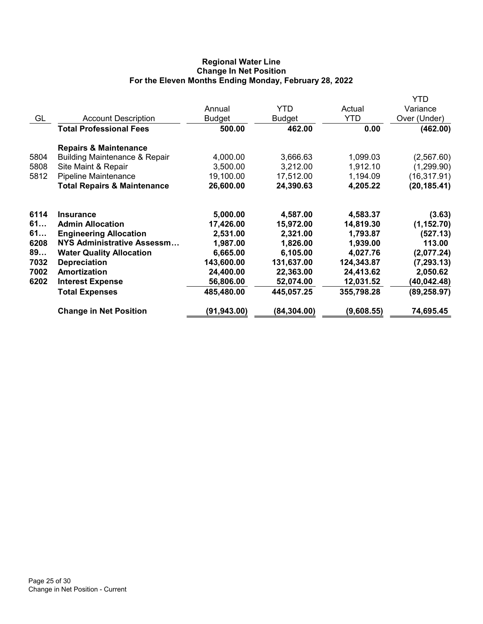# Regional Water Line Change In Net Position For the Eleven Months Ending Monday, February 28, 2022

|      |                                          |               |               |            | YTD          |
|------|------------------------------------------|---------------|---------------|------------|--------------|
|      |                                          | Annual        | <b>YTD</b>    | Actual     | Variance     |
| GL   | <b>Account Description</b>               | <b>Budget</b> | <b>Budget</b> | <b>YTD</b> | Over (Under) |
|      | <b>Total Professional Fees</b>           | 500.00        | 462.00        | 0.00       | (462.00)     |
|      | <b>Repairs &amp; Maintenance</b>         |               |               |            |              |
| 5804 | <b>Building Maintenance &amp; Repair</b> | 4,000.00      | 3,666.63      | 1,099.03   | (2,567.60)   |
| 5808 | Site Maint & Repair                      | 3,500.00      | 3,212.00      | 1,912.10   | (1,299.90)   |
| 5812 | Pipeline Maintenance                     | 19,100.00     | 17,512.00     | 1,194.09   | (16, 317.91) |
|      | <b>Total Repairs &amp; Maintenance</b>   | 26,600.00     | 24,390.63     | 4,205.22   | (20, 185.41) |
| 6114 | <b>Insurance</b>                         | 5,000.00      | 4,587.00      | 4,583.37   | (3.63)       |
| 61   | <b>Admin Allocation</b>                  | 17,426.00     | 15,972.00     | 14,819.30  | (1, 152.70)  |
| 61   | <b>Engineering Allocation</b>            | 2,531.00      | 2,321.00      | 1,793.87   | (527.13)     |
| 6208 | <b>NYS Administrative Assessm</b>        | 1,987.00      | 1,826.00      | 1,939.00   | 113.00       |
| 89   | <b>Water Quality Allocation</b>          | 6,665.00      | 6,105.00      | 4,027.76   | (2,077.24)   |
| 7032 | <b>Depreciation</b>                      | 143,600.00    | 131,637.00    | 124,343.87 | (7, 293.13)  |
| 7002 | Amortization                             | 24,400.00     | 22,363.00     | 24,413.62  | 2,050.62     |
| 6202 | <b>Interest Expense</b>                  | 56,806.00     | 52,074.00     | 12,031.52  | (40,042.48)  |
|      | <b>Total Expenses</b>                    | 485,480.00    | 445,057.25    | 355,798.28 | (89, 258.97) |
|      | <b>Change in Net Position</b>            | (91,943.00)   | (84, 304.00)  | (9,608.55) | 74,695.45    |
|      |                                          |               |               |            |              |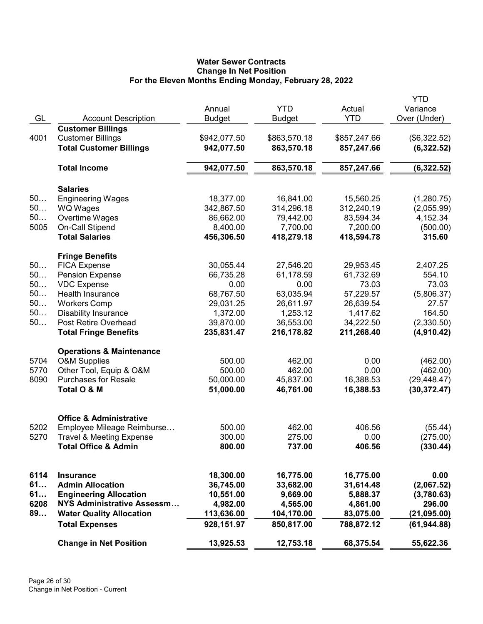# Water Sewer Contracts Change In Net Position For the Eleven Months Ending Monday, February 28, 2022

|      |                                                        | Annual        | <b>YTD</b>    | Actual<br><b>YTD</b> | YTD<br>Variance |
|------|--------------------------------------------------------|---------------|---------------|----------------------|-----------------|
| GL   | <b>Account Description</b><br><b>Customer Billings</b> | <b>Budget</b> | <b>Budget</b> |                      | Over (Under)    |
| 4001 | <b>Customer Billings</b>                               | \$942,077.50  | \$863,570.18  | \$857,247.66         | (\$6,322.52)    |
|      | <b>Total Customer Billings</b>                         | 942,077.50    | 863,570.18    | 857,247.66           | (6,322.52)      |
|      |                                                        |               |               |                      |                 |
|      | <b>Total Income</b>                                    | 942,077.50    | 863,570.18    | 857,247.66           | (6,322.52)      |
|      | <b>Salaries</b>                                        |               |               |                      |                 |
| 50   | <b>Engineering Wages</b>                               | 18,377.00     | 16,841.00     | 15,560.25            | (1,280.75)      |
| 50   | <b>WQ Wages</b>                                        | 342,867.50    | 314,296.18    | 312,240.19           | (2,055.99)      |
| 50   | Overtime Wages                                         | 86,662.00     | 79,442.00     | 83,594.34            | 4,152.34        |
| 5005 | On-Call Stipend                                        | 8,400.00      | 7,700.00      | 7,200.00             | (500.00)        |
|      | <b>Total Salaries</b>                                  | 456,306.50    | 418,279.18    | 418,594.78           | 315.60          |
|      | <b>Fringe Benefits</b>                                 |               |               |                      |                 |
| 50   | <b>FICA Expense</b>                                    | 30,055.44     | 27,546.20     | 29,953.45            | 2,407.25        |
| 50   | <b>Pension Expense</b>                                 | 66,735.28     | 61,178.59     | 61,732.69            | 554.10          |
| 50   | <b>VDC Expense</b>                                     | 0.00          | 0.00          | 73.03                | 73.03           |
| 50   | Health Insurance                                       | 68,767.50     | 63,035.94     | 57,229.57            | (5,806.37)      |
| 50   | <b>Workers Comp</b>                                    | 29,031.25     | 26,611.97     | 26,639.54            | 27.57           |
| 50   | <b>Disability Insurance</b>                            | 1,372.00      | 1,253.12      | 1,417.62             | 164.50          |
| 50   | Post Retire Overhead                                   | 39,870.00     | 36,553.00     | 34,222.50            | (2,330.50)      |
|      | <b>Total Fringe Benefits</b>                           | 235,831.47    | 216,178.82    | 211,268.40           | (4,910.42)      |
|      | <b>Operations &amp; Maintenance</b>                    |               |               |                      |                 |
| 5704 | <b>O&amp;M Supplies</b>                                | 500.00        | 462.00        | 0.00                 | (462.00)        |
| 5770 | Other Tool, Equip & O&M                                | 500.00        | 462.00        | 0.00                 | (462.00)        |
| 8090 | <b>Purchases for Resale</b>                            | 50,000.00     | 45,837.00     | 16,388.53            | (29, 448.47)    |
|      | Total O & M                                            | 51,000.00     | 46,761.00     | 16,388.53            | (30, 372.47)    |
|      | <b>Office &amp; Administrative</b>                     |               |               |                      |                 |
| 5202 | Employee Mileage Reimburse                             | 500.00        | 462.00        | 406.56               | (55.44)         |
| 5270 | <b>Travel &amp; Meeting Expense</b>                    | 300.00        | 275.00        | 0.00                 | (275.00)        |
|      | <b>Total Office &amp; Admin</b>                        | 800.00        | 737.00        | 406.56               | (330.44)        |
|      |                                                        |               |               |                      |                 |
| 6114 | <b>Insurance</b>                                       | 18,300.00     | 16,775.00     | 16,775.00            | 0.00            |
| 61   | <b>Admin Allocation</b>                                | 36,745.00     | 33,682.00     | 31,614.48            | (2,067.52)      |
| 61   | <b>Engineering Allocation</b>                          | 10,551.00     | 9,669.00      | 5,888.37             | (3,780.63)      |
| 6208 | NYS Administrative Assessm                             | 4,982.00      | 4,565.00      | 4,861.00             | 296.00          |
| 89   | <b>Water Quality Allocation</b>                        | 113,636.00    | 104,170.00    | 83,075.00            | (21, 095.00)    |
|      | <b>Total Expenses</b>                                  | 928,151.97    | 850,817.00    | 788,872.12           | (61, 944.88)    |
|      | <b>Change in Net Position</b>                          | 13,925.53     | 12,753.18     | 68,375.54            | 55,622.36       |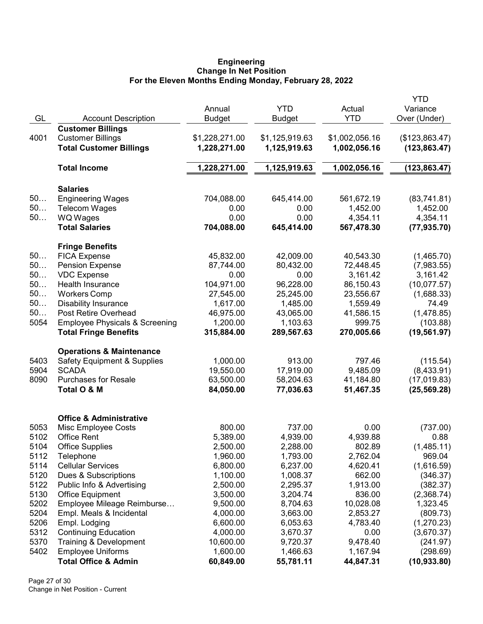### Engineering Change In Net Position For the Eleven Months Ending Monday, February 28, 2022

|      |                                           |                |                |                | <b>YTD</b>     |
|------|-------------------------------------------|----------------|----------------|----------------|----------------|
|      |                                           | Annual         | <b>YTD</b>     | Actual         | Variance       |
| GL   | <b>Account Description</b>                | <b>Budget</b>  | Budget         | <b>YTD</b>     | Over (Under)   |
|      | <b>Customer Billings</b>                  |                |                |                |                |
| 4001 | <b>Customer Billings</b>                  | \$1,228,271.00 | \$1,125,919.63 | \$1,002,056.16 | (\$123,863.47) |
|      | <b>Total Customer Billings</b>            | 1,228,271.00   | 1,125,919.63   | 1,002,056.16   | (123, 863.47)  |
|      |                                           |                |                |                |                |
|      | <b>Total Income</b>                       | 1,228,271.00   | 1,125,919.63   | 1,002,056.16   | (123, 863.47)  |
|      | <b>Salaries</b>                           |                |                |                |                |
| 50   | <b>Engineering Wages</b>                  | 704,088.00     | 645,414.00     | 561,672.19     | (83,741.81)    |
| 50   | <b>Telecom Wages</b>                      | 0.00           | 0.00           | 1,452.00       | 1,452.00       |
| 50   | <b>WQ Wages</b>                           | 0.00           | 0.00           | 4,354.11       | 4,354.11       |
|      | <b>Total Salaries</b>                     | 704,088.00     | 645,414.00     | 567,478.30     | (77, 935.70)   |
|      | <b>Fringe Benefits</b>                    |                |                |                |                |
| 50   | <b>FICA Expense</b>                       | 45,832.00      | 42,009.00      | 40,543.30      | (1,465.70)     |
| 50   | <b>Pension Expense</b>                    | 87,744.00      | 80,432.00      | 72,448.45      | (7,983.55)     |
| 50   | <b>VDC Expense</b>                        | 0.00           | 0.00           | 3,161.42       | 3,161.42       |
| 50   | Health Insurance                          | 104,971.00     | 96,228.00      | 86,150.43      | (10,077.57)    |
| 50   | <b>Workers Comp</b>                       | 27,545.00      | 25,245.00      | 23,556.67      | (1,688.33)     |
| 50   | <b>Disability Insurance</b>               | 1,617.00       | 1,485.00       | 1,559.49       | 74.49          |
| 50   | Post Retire Overhead                      | 46,975.00      | 43,065.00      | 41,586.15      | (1,478.85)     |
| 5054 | <b>Employee Physicals &amp; Screening</b> | 1,200.00       | 1,103.63       | 999.75         | (103.88)       |
|      | <b>Total Fringe Benefits</b>              | 315,884.00     | 289,567.63     | 270,005.66     | (19, 561.97)   |
|      | <b>Operations &amp; Maintenance</b>       |                |                |                |                |
| 5403 | <b>Safety Equipment &amp; Supplies</b>    | 1,000.00       | 913.00         | 797.46         | (115.54)       |
| 5904 | <b>SCADA</b>                              | 19,550.00      | 17,919.00      | 9,485.09       | (8,433.91)     |
| 8090 | <b>Purchases for Resale</b>               | 63,500.00      | 58,204.63      | 41,184.80      | (17,019.83)    |
|      | Total O & M                               | 84,050.00      | 77,036.63      | 51,467.35      | (25, 569.28)   |
|      | <b>Office &amp; Administrative</b>        |                |                |                |                |
| 5053 | Misc Employee Costs                       | 800.00         | 737.00         | 0.00           | (737.00)       |
| 5102 | <b>Office Rent</b>                        | 5,389.00       | 4,939.00       | 4,939.88       | 0.88           |
| 5104 | <b>Office Supplies</b>                    | 2,500.00       | 2,288.00       | 802.89         | (1,485.11)     |
| 5112 | Telephone                                 | 1,960.00       | 1,793.00       | 2,762.04       | 969.04         |
| 5114 | <b>Cellular Services</b>                  | 6,800.00       | 6,237.00       | 4,620.41       | (1,616.59)     |
| 5120 | Dues & Subscriptions                      | 1,100.00       | 1,008.37       | 662.00         | (346.37)       |
| 5122 | Public Info & Advertising                 | 2,500.00       | 2,295.37       | 1,913.00       | (382.37)       |
| 5130 | <b>Office Equipment</b>                   | 3,500.00       | 3,204.74       | 836.00         | (2,368.74)     |
| 5202 | Employee Mileage Reimburse                | 9,500.00       | 8,704.63       | 10,028.08      | 1,323.45       |
| 5204 | Empl. Meals & Incidental                  | 4,000.00       | 3,663.00       | 2,853.27       | (809.73)       |
| 5206 | Empl. Lodging                             | 6,600.00       | 6,053.63       | 4,783.40       | (1,270.23)     |
| 5312 | <b>Continuing Education</b>               | 4,000.00       | 3,670.37       | 0.00           | (3,670.37)     |
| 5370 | Training & Development                    | 10,600.00      | 9,720.37       | 9,478.40       | (241.97)       |
| 5402 | <b>Employee Uniforms</b>                  | 1,600.00       | 1,466.63       | 1,167.94       | (298.69)       |
|      | <b>Total Office &amp; Admin</b>           | 60,849.00      | 55,781.11      | 44,847.31      | (10, 933.80)   |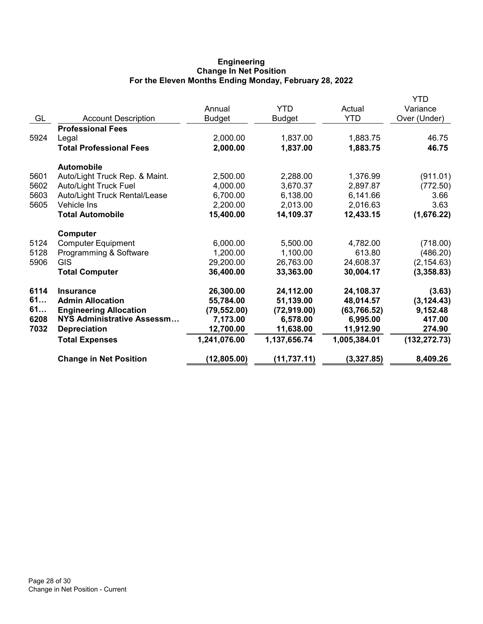# Engineering Change In Net Position For the Eleven Months Ending Monday, February 28, 2022

|      |                                |               |               |              | <b>YTD</b>    |
|------|--------------------------------|---------------|---------------|--------------|---------------|
|      |                                | Annual        | <b>YTD</b>    | Actual       | Variance      |
| GL   | <b>Account Description</b>     | <b>Budget</b> | <b>Budget</b> | <b>YTD</b>   | Over (Under)  |
|      | <b>Professional Fees</b>       |               |               |              |               |
| 5924 | Legal                          | 2,000.00      | 1,837.00      | 1,883.75     | 46.75         |
|      | <b>Total Professional Fees</b> | 2,000.00      | 1,837.00      | 1,883.75     | 46.75         |
|      | <b>Automobile</b>              |               |               |              |               |
| 5601 | Auto/Light Truck Rep. & Maint. | 2,500.00      | 2,288.00      | 1,376.99     | (911.01)      |
| 5602 | <b>Auto/Light Truck Fuel</b>   | 4,000.00      | 3,670.37      | 2,897.87     | (772.50)      |
| 5603 | Auto/Light Truck Rental/Lease  | 6,700.00      | 6,138.00      | 6,141.66     | 3.66          |
| 5605 | <b>Vehicle Ins</b>             | 2,200.00      | 2,013.00      | 2,016.63     | 3.63          |
|      | <b>Total Automobile</b>        | 15,400.00     | 14,109.37     | 12,433.15    | (1,676.22)    |
|      | Computer                       |               |               |              |               |
| 5124 | <b>Computer Equipment</b>      | 6,000.00      | 5,500.00      | 4,782.00     | (718.00)      |
| 5128 | Programming & Software         | 1,200.00      | 1,100.00      | 613.80       | (486.20)      |
| 5906 | <b>GIS</b>                     | 29,200.00     | 26,763.00     | 24,608.37    | (2, 154.63)   |
|      | <b>Total Computer</b>          | 36,400.00     | 33,363.00     | 30,004.17    | (3,358.83)    |
| 6114 | <b>Insurance</b>               | 26,300.00     | 24,112.00     | 24,108.37    | (3.63)        |
| 61   | <b>Admin Allocation</b>        | 55,784.00     | 51,139.00     | 48,014.57    | (3, 124.43)   |
| 61   | <b>Engineering Allocation</b>  | (79, 552.00)  | (72, 919.00)  | (63, 766.52) | 9,152.48      |
| 6208 | NYS Administrative Assessm     | 7,173.00      | 6,578.00      | 6,995.00     | 417.00        |
| 7032 | <b>Depreciation</b>            | 12,700.00     | 11,638.00     | 11,912.90    | 274.90        |
|      | <b>Total Expenses</b>          | 1,241,076.00  | 1,137,656.74  | 1,005,384.01 | (132, 272.73) |
|      | <b>Change in Net Position</b>  | (12, 805.00)  | (11, 737.11)  | (3,327.85)   | 8,409.26      |
|      |                                |               |               |              |               |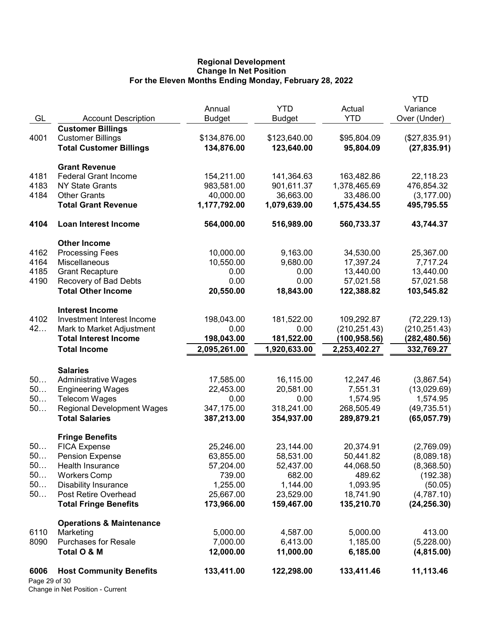## Regional Development Change In Net Position For the Eleven Months Ending Monday, February 28, 2022

| GL                    | <b>Account Description</b>                                | Annual<br><b>Budget</b> | <b>YTD</b><br><b>Budget</b> | Actual<br><b>YTD</b>           | <b>YTD</b><br>Variance<br>Over (Under) |
|-----------------------|-----------------------------------------------------------|-------------------------|-----------------------------|--------------------------------|----------------------------------------|
|                       | <b>Customer Billings</b>                                  |                         |                             |                                |                                        |
| 4001                  | <b>Customer Billings</b>                                  | \$134,876.00            | \$123,640.00                | \$95,804.09                    | (\$27,835.91)                          |
|                       | <b>Total Customer Billings</b>                            | 134,876.00              | 123,640.00                  | 95,804.09                      | (27, 835.91)                           |
|                       | <b>Grant Revenue</b>                                      |                         |                             |                                |                                        |
| 4181                  | <b>Federal Grant Income</b>                               | 154,211.00              | 141,364.63                  | 163,482.86                     | 22,118.23                              |
| 4183                  | <b>NY State Grants</b>                                    | 983,581.00              | 901,611.37                  | 1,378,465.69                   | 476,854.32                             |
| 4184                  | <b>Other Grants</b>                                       | 40,000.00               | 36,663.00                   | 33,486.00                      | (3, 177.00)                            |
|                       | <b>Total Grant Revenue</b>                                | 1,177,792.00            | 1,079,639.00                | 1,575,434.55                   | 495,795.55                             |
| 4104                  | <b>Loan Interest Income</b>                               | 564,000.00              | 516,989.00                  | 560,733.37                     | 43,744.37                              |
|                       | <b>Other Income</b>                                       |                         |                             |                                |                                        |
| 4162                  | <b>Processing Fees</b>                                    | 10,000.00               | 9,163.00                    | 34,530.00                      | 25,367.00                              |
| 4164                  | Miscellaneous                                             | 10,550.00               | 9,680.00                    | 17,397.24                      | 7,717.24                               |
| 4185                  | <b>Grant Recapture</b>                                    | 0.00                    | 0.00                        | 13,440.00                      | 13,440.00                              |
| 4190                  | Recovery of Bad Debts                                     | 0.00                    | 0.00                        | 57,021.58                      | 57,021.58                              |
|                       | <b>Total Other Income</b>                                 | 20,550.00               | 18,843.00                   | 122,388.82                     | 103,545.82                             |
|                       | <b>Interest Income</b>                                    |                         |                             |                                |                                        |
| 4102<br>42            | Investment Interest Income                                | 198,043.00              | 181,522.00                  | 109,292.87                     | (72, 229.13)                           |
|                       | Mark to Market Adjustment<br><b>Total Interest Income</b> | 0.00<br>198,043.00      | 0.00<br>181,522.00          | (210, 251.43)<br>(100, 958.56) | (210, 251.43)<br>(282,480.56)          |
|                       | <b>Total Income</b>                                       | 2,095,261.00            | 1,920,633.00                | 2,253,402.27                   | 332,769.27                             |
|                       |                                                           |                         |                             |                                |                                        |
|                       | <b>Salaries</b>                                           |                         |                             |                                |                                        |
| 50                    | <b>Administrative Wages</b>                               | 17,585.00               | 16,115.00                   | 12,247.46                      | (3,867.54)                             |
| 50<br>50              | <b>Engineering Wages</b>                                  | 22,453.00               | 20,581.00                   | 7,551.31                       | (13,029.69)                            |
| 50                    | <b>Telecom Wages</b><br><b>Regional Development Wages</b> | 0.00<br>347,175.00      | 0.00<br>318,241.00          | 1,574.95<br>268,505.49         | 1,574.95<br>(49, 735.51)               |
|                       | <b>Total Salaries</b>                                     | 387,213.00              | 354,937.00                  | 289,879.21                     | (65,057.79)                            |
|                       | <b>Fringe Benefits</b>                                    |                         |                             |                                |                                        |
| 50.                   | <b>FICA Expense</b>                                       | 25,246.00               | 23,144.00                   | 20,374.91                      | (2,769.09)                             |
| 50                    | <b>Pension Expense</b>                                    | 63,855.00               | 58,531.00                   | 50,441.82                      | (8,089.18)                             |
| 50                    | Health Insurance                                          | 57,204.00               | 52,437.00                   | 44,068.50                      | (8,368.50)                             |
| 50                    | <b>Workers Comp</b>                                       | 739.00                  | 682.00                      | 489.62                         | (192.38)                               |
| 50                    | <b>Disability Insurance</b>                               | 1,255.00                | 1,144.00                    | 1,093.95                       | (50.05)                                |
| 50                    | Post Retire Overhead                                      | 25,667.00               | 23,529.00                   | 18,741.90                      | (4,787.10)                             |
|                       | <b>Total Fringe Benefits</b>                              | 173,966.00              | 159,467.00                  | 135,210.70                     | (24, 256.30)                           |
|                       | <b>Operations &amp; Maintenance</b>                       |                         |                             |                                |                                        |
| 6110                  | Marketing                                                 | 5,000.00                | 4,587.00                    | 5,000.00                       | 413.00                                 |
| 8090                  | <b>Purchases for Resale</b>                               | 7,000.00                | 6,413.00                    | 1,185.00                       | (5,228.00)                             |
|                       | Total O & M                                               | 12,000.00               | 11,000.00                   | 6,185.00                       | (4,815.00)                             |
| 6006<br>Page 29 of 30 | <b>Host Community Benefits</b>                            | 133,411.00              | 122,298.00                  | 133,411.46                     | 11,113.46                              |